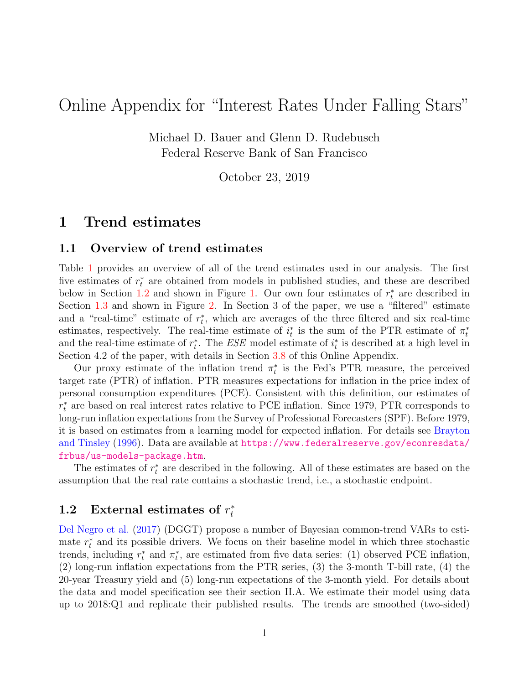# Online Appendix for "Interest Rates Under Falling Stars"

Michael D. Bauer and Glenn D. Rudebusch Federal Reserve Bank of San Francisco

October 23, 2019

### 1 Trend estimates

#### 1.1 Overview of trend estimates

Table [1](#page-1-0) provides an overview of all of the trend estimates used in our analysis. The first five estimates of  $r_t^*$  are obtained from models in published studies, and these are described below in Section [1.2](#page-0-0) and shown in Figure [1.](#page-3-0) Our own four estimates of  $r_t^*$  are described in Section [1.3](#page-2-0) and shown in Figure [2.](#page-5-0) In Section 3 of the paper, we use a "filtered" estimate and a "real-time" estimate of  $r_t^*$ , which are averages of the three filtered and six real-time estimates, respectively. The real-time estimate of  $i_t^*$  is the sum of the PTR estimate of  $\pi_t^*$ and the real-time estimate of  $r_t^*$ . The ESE model estimate of  $i_t^*$  is described at a high level in Section 4.2 of the paper, with details in Section [3.8](#page-20-0) of this Online Appendix.

Our proxy estimate of the inflation trend  $\pi_t^*$  is the Fed's PTR measure, the perceived target rate (PTR) of inflation. PTR measures expectations for inflation in the price index of personal consumption expenditures (PCE). Consistent with this definition, our estimates of  $r_t^*$  are based on real interest rates relative to PCE inflation. Since 1979, PTR corresponds to long-run inflation expectations from the Survey of Professional Forecasters (SPF). Before 1979, it is based on estimates from a learning model for expected inflation. For details see [Brayton](#page-22-0) [and Tinsley](#page-22-0) [\(1996\)](#page-22-0). Data are available at [https://www.federalreserve.gov/econresdata/](https://www.federalreserve.gov/econresdata/frbus/us-models-package.htm) [frbus/us-models-package.htm](https://www.federalreserve.gov/econresdata/frbus/us-models-package.htm).

The estimates of  $r_t^*$  are described in the following. All of these estimates are based on the assumption that the real rate contains a stochastic trend, i.e., a stochastic endpoint.

#### <span id="page-0-0"></span>1.2 External estimates of  $r_t^*$ t

[Del Negro et al.](#page-23-0) [\(2017\)](#page-23-0) (DGGT) propose a number of Bayesian common-trend VARs to estimate  $r_t^*$  and its possible drivers. We focus on their baseline model in which three stochastic trends, including  $r_t^*$  and  $\pi_t^*$ , are estimated from five data series: (1) observed PCE inflation, (2) long-run inflation expectations from the PTR series, (3) the 3-month T-bill rate, (4) the 20-year Treasury yield and (5) long-run expectations of the 3-month yield. For details about the data and model specification see their section II.A. We estimate their model using data up to 2018:Q1 and replicate their published results. The trends are smoothed (two-sided)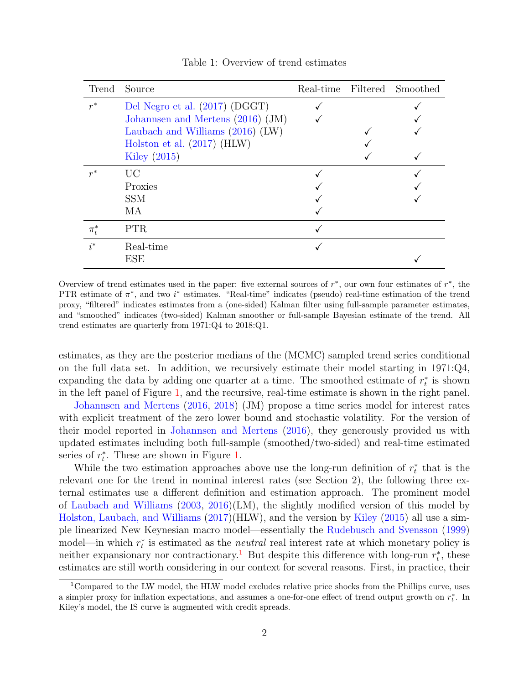| Trend     | Source                              |  | Real-time Filtered Smoothed |
|-----------|-------------------------------------|--|-----------------------------|
| $r^*$     | Del Negro et al. (2017) (DGGT)      |  |                             |
|           | Johannsen and Mertens $(2016)$ (JM) |  |                             |
|           | Laubach and Williams (2016) (LW)    |  |                             |
|           | Holston et al. $(2017)$ (HLW)       |  |                             |
|           | Kiley $(2015)$                      |  |                             |
| $r^*$     | UC                                  |  |                             |
|           | Proxies                             |  |                             |
|           | <b>SSM</b>                          |  |                             |
|           | MA                                  |  |                             |
| $\pi_t^*$ | PTR.                                |  |                             |
| $i^*$     | Real-time                           |  |                             |
|           | ESE                                 |  |                             |

<span id="page-1-0"></span>Table 1: Overview of trend estimates

Overview of trend estimates used in the paper: five external sources of  $r^*$ , our own four estimates of  $r^*$ , the PTR estimate of  $\pi^*$ , and two  $i^*$  estimates. "Real-time" indicates (pseudo) real-time estimation of the trend proxy, "filtered" indicates estimates from a (one-sided) Kalman filter using full-sample parameter estimates, and "smoothed" indicates (two-sided) Kalman smoother or full-sample Bayesian estimate of the trend. All trend estimates are quarterly from 1971:Q4 to 2018:Q1.

estimates, as they are the posterior medians of the (MCMC) sampled trend series conditional on the full data set. In addition, we recursively estimate their model starting in  $1971:Q4$ , expanding the data by adding one quarter at a time. The smoothed estimate of  $r_t^*$  is shown in the left panel of Figure [1,](#page-3-0) and the recursive, real-time estimate is shown in the right panel.

[Johannsen and Mertens](#page-23-1) [\(2016,](#page-23-1) [2018\)](#page-23-3) (JM) propose a time series model for interest rates with explicit treatment of the zero lower bound and stochastic volatility. For the version of their model reported in [Johannsen and Mertens](#page-23-1) [\(2016\)](#page-23-1), they generously provided us with updated estimates including both full-sample (smoothed/two-sided) and real-time estimated series of  $r_t^*$ . These are shown in Figure [1.](#page-3-0)

While the two estimation approaches above use the long-run definition of  $r_t^*$  that is the relevant one for the trend in nominal interest rates (see Section 2), the following three external estimates use a different definition and estimation approach. The prominent model of [Laubach and Williams](#page-24-2) [\(2003,](#page-24-2) [2016\)](#page-24-0)(LM), the slightly modified version of this model by [Holston, Laubach, and Williams](#page-23-2) [\(2017\)](#page-23-2)(HLW), and the version by [Kiley](#page-24-1) [\(2015\)](#page-24-1) all use a simple linearized New Keynesian macro model—essentially the [Rudebusch and Svensson](#page-24-3) [\(1999\)](#page-24-3) model—in which  $r_t^*$  is estimated as the *neutral* real interest rate at which monetary policy is neither expansionary nor contractionary.<sup>[1](#page-1-1)</sup> But despite this difference with long-run  $r_t^*$ , these estimates are still worth considering in our context for several reasons. First, in practice, their

<span id="page-1-1"></span><sup>1</sup>Compared to the LW model, the HLW model excludes relative price shocks from the Phillips curve, uses a simpler proxy for inflation expectations, and assumes a one-for-one effect of trend output growth on  $r_t^*$ . In Kiley's model, the IS curve is augmented with credit spreads.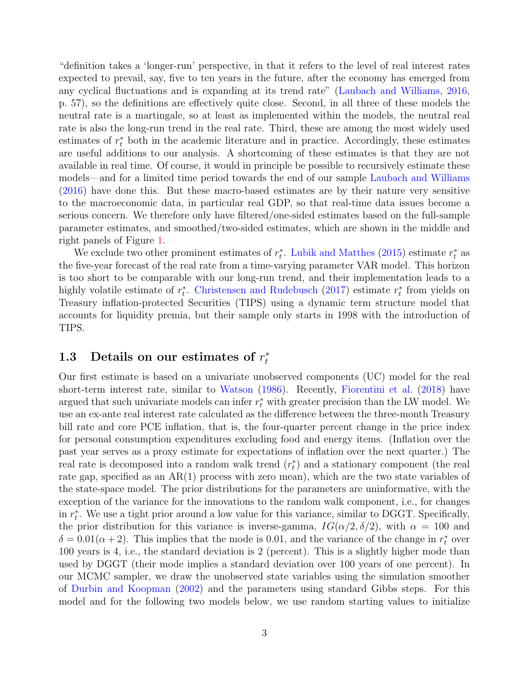"definition takes a 'longer-run' perspective, in that it refers to the level of real interest rates expected to prevail, say, five to ten years in the future, after the economy has emerged from any cyclical fluctuations and is expanding at its trend rate" [\(Laubach and Williams,](#page-24-0) [2016,](#page-24-0) p. 57), so the definitions are effectively quite close. Second, in all three of these models the neutral rate is a martingale, so at least as implemented within the models, the neutral real rate is also the long-run trend in the real rate. Third, these are among the most widely used estimates of  $r_t^*$  both in the academic literature and in practice. Accordingly, these estimates are useful additions to our analysis. A shortcoming of these estimates is that they are not available in real time. Of course, it would in principle be possible to recursively estimate these models—and for a limited time period towards the end of our sample [Laubach and Williams](#page-24-0) [\(2016\)](#page-24-0) have done this. But these macro-based estimates are by their nature very sensitive to the macroeconomic data, in particular real GDP, so that real-time data issues become a serious concern. We therefore only have filtered/one-sided estimates based on the full-sample parameter estimates, and smoothed/two-sided estimates, which are shown in the middle and right panels of Figure [1.](#page-3-0)

We exclude two other prominent estimates of  $r_t^*$ . [Lubik and Matthes](#page-24-4) [\(2015\)](#page-24-4) estimate  $r_t^*$  as the five-year forecast of the real rate from a time-varying parameter VAR model. This horizon is too short to be comparable with our long-run trend, and their implementation leads to a highly volatile estimate of  $r_t^*$ . [Christensen and Rudebusch](#page-23-4) [\(2017\)](#page-23-4) estimate  $r_t^*$  from yields on Treasury inflation-protected Securities (TIPS) using a dynamic term structure model that accounts for liquidity premia, but their sample only starts in 1998 with the introduction of TIPS.

#### <span id="page-2-0"></span>1.3 Details on our estimates of  $r_t^*$ t

Our first estimate is based on a univariate unobserved components (UC) model for the real short-term interest rate, similar to [Watson](#page-24-5) [\(1986\)](#page-24-5). Recently, [Fiorentini et al.](#page-23-5) [\(2018\)](#page-23-5) have argued that such univariate models can infer  $r_t^*$  with greater precision than the LW model. We use an ex-ante real interest rate calculated as the difference between the three-month Treasury bill rate and core PCE inflation, that is, the four-quarter percent change in the price index for personal consumption expenditures excluding food and energy items. (Inflation over the past year serves as a proxy estimate for expectations of inflation over the next quarter.) The real rate is decomposed into a random walk trend  $(r_t^*)$  and a stationary component (the real rate gap, specified as an AR(1) process with zero mean), which are the two state variables of the state-space model. The prior distributions for the parameters are uninformative, with the exception of the variance for the innovations to the random walk component, i.e., for changes in  $r_t^*$ . We use a tight prior around a low value for this variance, similar to DGGT. Specifically, the prior distribution for this variance is inverse-gamma,  $IG(\alpha/2, \delta/2)$ , with  $\alpha = 100$  and  $\delta = 0.01(\alpha + 2)$ . This implies that the mode is 0.01, and the variance of the change in  $r_t^*$  over 100 years is 4, i.e., the standard deviation is 2 (percent). This is a slightly higher mode than used by DGGT (their mode implies a standard deviation over 100 years of one percent). In our MCMC sampler, we draw the unobserved state variables using the simulation smoother of [Durbin and Koopman](#page-23-6) [\(2002\)](#page-23-6) and the parameters using standard Gibbs steps. For this model and for the following two models below, we use random starting values to initialize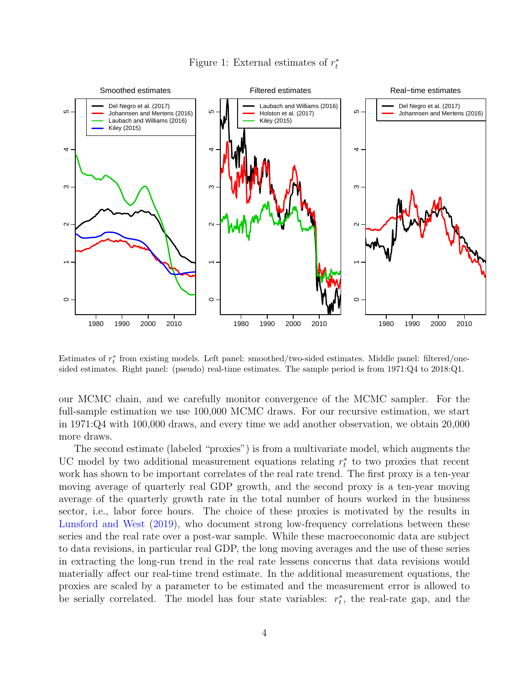

<span id="page-3-0"></span>Figure 1: External estimates of  $r_t^*$ 

Estimates of  $r_t^*$  from existing models. Left panel: smoothed/two-sided estimates. Middle panel: filtered/onesided estimates. Right panel: (pseudo) real-time estimates. The sample period is from 1971:Q4 to 2018:Q1.

our MCMC chain, and we carefully monitor convergence of the MCMC sampler. For the full-sample estimation we use 100,000 MCMC draws. For our recursive estimation, we start in 1971:Q4 with 100,000 draws, and every time we add another observation, we obtain 20,000 more draws.

The second estimate (labeled "proxies") is from a multivariate model, which augments the UC model by two additional measurement equations relating  $r_t^*$  to two proxies that recent work has shown to be important correlates of the real rate trend. The first proxy is a ten-year moving average of quarterly real GDP growth, and the second proxy is a ten-year moving average of the quarterly growth rate in the total number of hours worked in the business sector, i.e., labor force hours. The choice of these proxies is motivated by the results in [Lunsford and West](#page-24-6) [\(2019\)](#page-24-6), who document strong low-frequency correlations between these series and the real rate over a post-war sample. While these macroeconomic data are subject to data revisions, in particular real GDP, the long moving averages and the use of these series in extracting the long-run trend in the real rate lessens concerns that data revisions would materially affect our real-time trend estimate. In the additional measurement equations, the proxies are scaled by a parameter to be estimated and the measurement error is allowed to be serially correlated. The model has four state variables:  $r_t^*$ , the real-rate gap, and the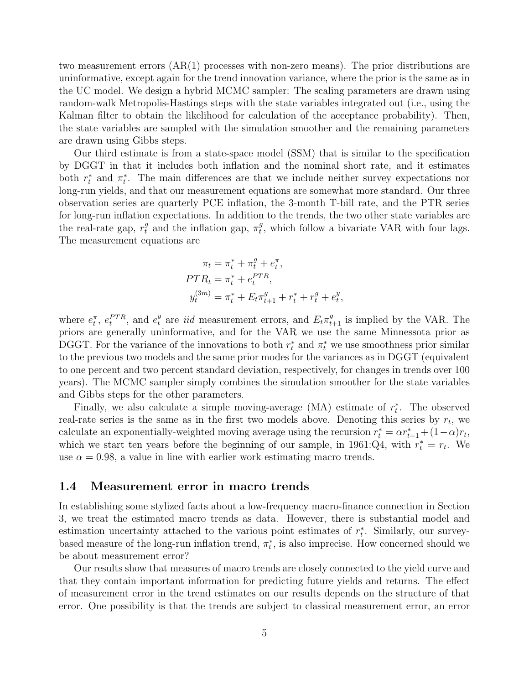two measurement errors (AR(1) processes with non-zero means). The prior distributions are uninformative, except again for the trend innovation variance, where the prior is the same as in the UC model. We design a hybrid MCMC sampler: The scaling parameters are drawn using random-walk Metropolis-Hastings steps with the state variables integrated out (i.e., using the Kalman filter to obtain the likelihood for calculation of the acceptance probability). Then, the state variables are sampled with the simulation smoother and the remaining parameters are drawn using Gibbs steps.

Our third estimate is from a state-space model (SSM) that is similar to the specification by DGGT in that it includes both inflation and the nominal short rate, and it estimates both  $r_t^*$  and  $\pi_t^*$ . The main differences are that we include neither survey expectations nor long-run yields, and that our measurement equations are somewhat more standard. Our three observation series are quarterly PCE inflation, the 3-month T-bill rate, and the PTR series for long-run inflation expectations. In addition to the trends, the two other state variables are the real-rate gap,  $r_t^g$  and the inflation gap,  $\pi_t^g$  $t<sup>g</sup>$ , which follow a bivariate VAR with four lags. The measurement equations are

$$
\pi_t = \pi_t^* + \pi_t^g + e_t^{\pi},
$$
  
\n
$$
PTR_t = \pi_t^* + e_t^{PTR},
$$
  
\n
$$
y_t^{(3m)} = \pi_t^* + E_t \pi_{t+1}^g + r_t^* + r_t^g + e_t^y,
$$

where  $e_t^{\pi}$ ,  $e_t^{PTR}$ , and  $e_t^y$  are *iid* measurement errors, and  $E_t \pi_{t+1}^g$  is implied by the VAR. The priors are generally uninformative, and for the VAR we use the same Minnessota prior as DGGT. For the variance of the innovations to both  $r_t^*$  and  $\pi_t^*$  we use smoothness prior similar to the previous two models and the same prior modes for the variances as in DGGT (equivalent to one percent and two percent standard deviation, respectively, for changes in trends over 100 years). The MCMC sampler simply combines the simulation smoother for the state variables and Gibbs steps for the other parameters.

Finally, we also calculate a simple moving-average (MA) estimate of  $r_t^*$ . The observed real-rate series is the same as in the first two models above. Denoting this series by  $r_t$ , we calculate an exponentially-weighted moving average using the recursion  $r_t^* = \alpha r_{t-1}^* + (1-\alpha)r_t$ , which we start ten years before the beginning of our sample, in 1961:Q4, with  $r_t^* = r_t$ . We use  $\alpha = 0.98$ , a value in line with earlier work estimating macro trends.

#### 1.4 Measurement error in macro trends

In establishing some stylized facts about a low-frequency macro-finance connection in Section 3, we treat the estimated macro trends as data. However, there is substantial model and estimation uncertainty attached to the various point estimates of  $r_t^*$ . Similarly, our surveybased measure of the long-run inflation trend,  $\pi_t^*$ , is also imprecise. How concerned should we be about measurement error?

Our results show that measures of macro trends are closely connected to the yield curve and that they contain important information for predicting future yields and returns. The effect of measurement error in the trend estimates on our results depends on the structure of that error. One possibility is that the trends are subject to classical measurement error, an error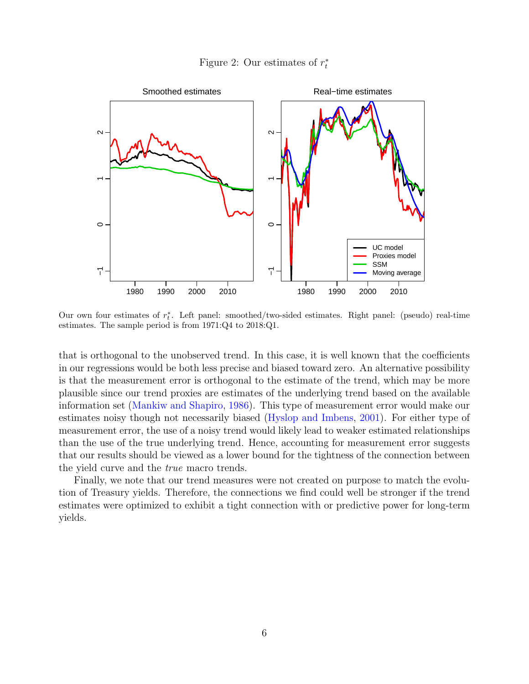<span id="page-5-0"></span>Figure 2: Our estimates of  $r_t^*$ 



Our own four estimates of  $r_t^*$ . Left panel: smoothed/two-sided estimates. Right panel: (pseudo) real-time estimates. The sample period is from 1971:Q4 to 2018:Q1.

that is orthogonal to the unobserved trend. In this case, it is well known that the coefficients in our regressions would be both less precise and biased toward zero. An alternative possibility is that the measurement error is orthogonal to the estimate of the trend, which may be more plausible since our trend proxies are estimates of the underlying trend based on the available information set [\(Mankiw and Shapiro,](#page-24-7) [1986\)](#page-24-7). This type of measurement error would make our estimates noisy though not necessarily biased [\(Hyslop and Imbens,](#page-23-7) [2001\)](#page-23-7). For either type of measurement error, the use of a noisy trend would likely lead to weaker estimated relationships than the use of the true underlying trend. Hence, accounting for measurement error suggests that our results should be viewed as a lower bound for the tightness of the connection between the yield curve and the true macro trends.

Finally, we note that our trend measures were not created on purpose to match the evolution of Treasury yields. Therefore, the connections we find could well be stronger if the trend estimates were optimized to exhibit a tight connection with or predictive power for long-term yields.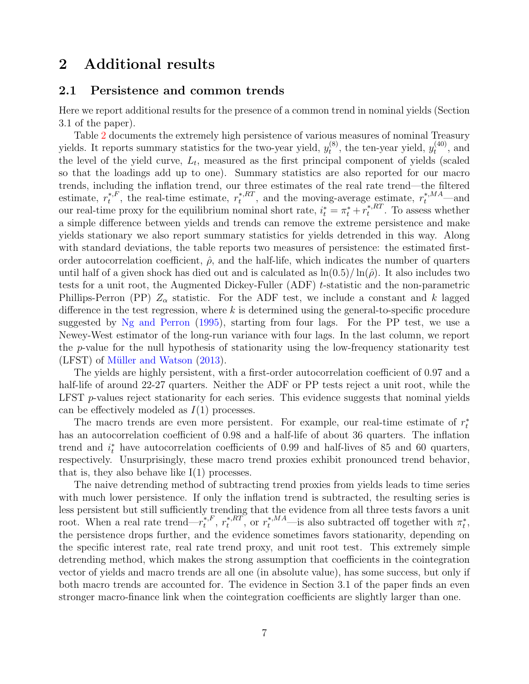## 2 Additional results

#### 2.1 Persistence and common trends

Here we report additional results for the presence of a common trend in nominal yields (Section 3.1 of the paper).

Table [2](#page-7-0) documents the extremely high persistence of various measures of nominal Treasury yields. It reports summary statistics for the two-year yield,  $y_t^{(8)}$  $t_t^{(8)}$ , the ten-year yield,  $y_t^{(40)}$  $t^{(40)}$ , and the level of the yield curve,  $L_t$ , measured as the first principal component of yields (scaled so that the loadings add up to one). Summary statistics are also reported for our macro trends, including the inflation trend, our three estimates of the real rate trend—the filtered estimate,  $r_t^{*,F}$  $t_t^{*,F}$ , the real-time estimate,  $r_t^{*,RT}$ \*, ${}^{k}R^{T}$ , and the moving-average estimate,  $r_t^{*,MA}$ —and our real-time proxy for the equilibrium nominal short rate,  $i_t^* = \pi_t^* + r_t^{*,RT}$  $t^{*,\kappa}$ . To assess whether a simple difference between yields and trends can remove the extreme persistence and make yields stationary we also report summary statistics for yields detrended in this way. Along with standard deviations, the table reports two measures of persistence: the estimated firstorder autocorrelation coefficient,  $\hat{\rho}$ , and the half-life, which indicates the number of quarters until half of a given shock has died out and is calculated as  $\ln(0.5)/\ln(\hat{\rho})$ . It also includes two tests for a unit root, the Augmented Dickey-Fuller (ADF) t-statistic and the non-parametric Phillips-Perron (PP)  $Z_{\alpha}$  statistic. For the ADF test, we include a constant and k lagged difference in the test regression, where  $k$  is determined using the general-to-specific procedure suggested by [Ng and Perron](#page-24-8) [\(1995\)](#page-24-8), starting from four lags. For the PP test, we use a Newey-West estimator of the long-run variance with four lags. In the last column, we report the p-value for the null hypothesis of stationarity using the low-frequency stationarity test  $(LFST)$  of Müller and Watson  $(2013)$ .

The yields are highly persistent, with a first-order autocorrelation coefficient of 0.97 and a half-life of around 22-27 quarters. Neither the ADF or PP tests reject a unit root, while the LFST  $p$ -values reject stationarity for each series. This evidence suggests that nominal yields can be effectively modeled as  $I(1)$  processes.

The macro trends are even more persistent. For example, our real-time estimate of  $r_t^*$ has an autocorrelation coefficient of 0.98 and a half-life of about 36 quarters. The inflation trend and  $i_t^*$  have autocorrelation coefficients of 0.99 and half-lives of 85 and 60 quarters, respectively. Unsurprisingly, these macro trend proxies exhibit pronounced trend behavior, that is, they also behave like  $I(1)$  processes.

The naive detrending method of subtracting trend proxies from yields leads to time series with much lower persistence. If only the inflation trend is subtracted, the resulting series is less persistent but still sufficiently trending that the evidence from all three tests favors a unit root. When a real rate trend— $r_t^{*,F}$  $\boldsymbol{r}^{*,F}_t, r^{*,RT}_t$ \*, $R_{t}^{*}$ , or  $r_{t}^{*}$ ,  $^{MA}$ —is also subtracted off together with  $\pi_{t}^{*}$ , the persistence drops further, and the evidence sometimes favors stationarity, depending on the specific interest rate, real rate trend proxy, and unit root test. This extremely simple detrending method, which makes the strong assumption that coefficients in the cointegration vector of yields and macro trends are all one (in absolute value), has some success, but only if both macro trends are accounted for. The evidence in Section 3.1 of the paper finds an even stronger macro-finance link when the cointegration coefficients are slightly larger than one.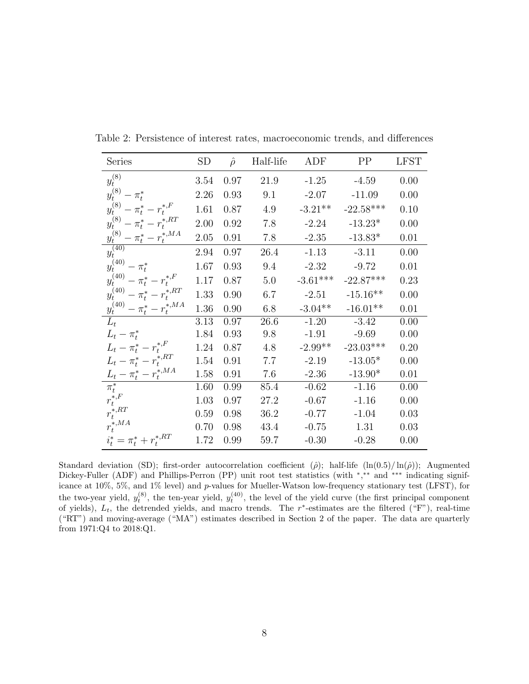| Series                              | <b>SD</b> | $\hat{\rho}$ | Half-life | ADF        | PP          | <b>LFST</b> |
|-------------------------------------|-----------|--------------|-----------|------------|-------------|-------------|
| $y_t^{(8)}$                         | 3.54      | 0.97         | 21.9      | $-1.25$    | $-4.59$     | 0.00        |
| $y_t^{(8)} - \pi_t^*$               | 2.26      | 0.93         | 9.1       | $-2.07$    | $-11.09$    | 0.00        |
| $y_t^{(8)} - \pi_t^* - r_t^{*,F}$   | 1.61      | 0.87         | 4.9       | $-3.21**$  | $-22.58***$ | 0.10        |
| $y_t^{(8)} - \pi_t^* - r_t^{*,RT}$  | 2.00      | 0.92         | 7.8       | $-2.24$    | $-13.23*$   | 0.00        |
| $y_t^{(8)}-\pi^*_t-r_t^{*,MA}$      | 2.05      | 0.91         | 7.8       | $-2.35$    | $-13.83*$   | 0.01        |
| $y_t^{(40)}$                        | 2.94      | 0.97         | 26.4      | $-1.13$    | $-3.11$     | 0.00        |
| $y_t^{(40)} - \pi_t^*$              | 1.67      | 0.93         | 9.4       | $-2.32$    | $-9.72$     | 0.01        |
| $y_t^{(40)} - \pi_t^* - r_t^{*,F}$  | 1.17      | 0.87         | 5.0       | $-3.61***$ | $-22.87***$ | 0.23        |
| $y_t^{(40)} - \pi_t^* - r_t^{*,RT}$ | 1.33      | 0.90         | 6.7       | $-2.51$    | $-15.16**$  | 0.00        |
| $y_t^{(40)} - \pi_t^* - r_t^{*,MA}$ | 1.36      | 0.90         | 6.8       | $-3.04**$  | $-16.01**$  | 0.01        |
| $L_{t}$                             | 3.13      | 0.97         | 26.6      | $-1.20$    | $-3.42$     | 0.00        |
| $L_t - \pi_t^*$                     | 1.84      | 0.93         | 9.8       | $-1.91$    | $-9.69$     | 0.00        |
| $L_t-\pi^*_t-r^{*,F}_t$             | 1.24      | 0.87         | 4.8       | $-2.99**$  | $-23.03***$ | 0.20        |
| $L_t - \pi_t^* - r_t^{*,RT}$        | 1.54      | 0.91         | 7.7       | $-2.19$    | $-13.05*$   | 0.00        |
| $L_t-\pi^*_t-r^{*,MA}_t$            | 1.58      | 0.91         | 7.6       | $-2.36$    | $-13.90*$   | 0.01        |
| $\pi_t^*$                           | 1.60      | 0.99         | 85.4      | $-0.62$    | $-1.16$     | 0.00        |
| $r_t^{*,F}$                         | 1.03      | 0.97         | 27.2      | $-0.67$    | $-1.16$     | 0.00        |
| $r_t^{\ast, RT}$                    | 0.59      | 0.98         | 36.2      | $-0.77$    | $-1.04$     | 0.03        |
| $r_t^{\ast,MA}$                     | 0.70      | 0.98         | 43.4      | $-0.75$    | 1.31        | 0.03        |
| $i_t^* = \pi_t^* + r_t^{*,RT}$      | 1.72      | 0.99         | 59.7      | $-0.30$    | $-0.28$     | 0.00        |

<span id="page-7-0"></span>Table 2: Persistence of interest rates, macroeconomic trends, and differences

Standard deviation (SD); first-order autocorrelation coefficient ( $\hat{\rho}$ ); half-life (ln(0.5)/ln( $\hat{\rho}$ )); Augmented Dickey-Fuller (ADF) and Phillips-Perron (PP) unit root test statistics (with \*,\*\* and \*\*\* indicating significance at 10%, 5%, and 1% level) and p-values for Mueller-Watson low-frequency stationary test (LFST), for the two-year yield,  $y_t^{(8)}$ , the ten-year yield,  $y_t^{(40)}$ , the level of the yield curve (the first principal component of yields),  $L_t$ , the detrended yields, and macro trends. The r<sup>\*</sup>-estimates are the filtered ("F"), real-time ("RT") and moving-average ("MA") estimates described in Section 2 of the paper. The data are quarterly from 1971:Q4 to 2018:Q1.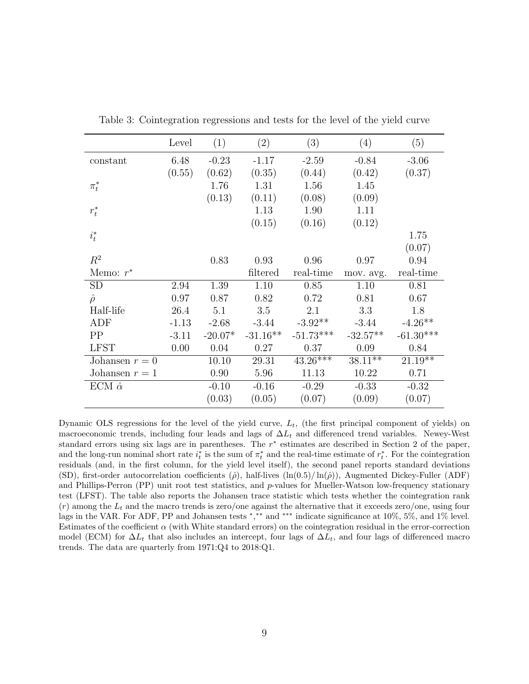|                    | Level   | (1)       | (2)        | (3)         | (4)        | (5)         |
|--------------------|---------|-----------|------------|-------------|------------|-------------|
| constant           | 6.48    | $-0.23$   | $-1.17$    | $-2.59$     | $-0.84$    | $-3.06$     |
|                    | (0.55)  | (0.62)    | (0.35)     | (0.44)      | (0.42)     | (0.37)      |
| $\pi^*_t$          |         | 1.76      | 1.31       | 1.56        | 1.45       |             |
|                    |         | (0.13)    | (0.11)     | (0.08)      | (0.09)     |             |
| $r_t^*$            |         |           | 1.13       | 1.90        | 1.11       |             |
|                    |         |           | (0.15)     | (0.16)      | (0.12)     |             |
| $i_t^*$            |         |           |            |             |            | 1.75        |
|                    |         |           |            |             |            | (0.07)      |
| $R^2$              |         | 0.83      | 0.93       | 0.96        | 0.97       | 0.94        |
| Memo: $r^*$        |         |           | filtered   | real-time   | mov. avg.  | real-time   |
| <b>SD</b>          | 2.94    | 1.39      | 1.10       | 0.85        | 1.10       | 0.81        |
| $\hat{\rho}$       | 0.97    | 0.87      | 0.82       | 0.72        | 0.81       | 0.67        |
| Half-life          | 26.4    | 5.1       | 3.5        | 2.1         | 3.3        | 1.8         |
| ADF                | $-1.13$ | $-2.68$   | $-3.44$    | $-3.92**$   | $-3.44$    | $-4.26**$   |
| PP                 | $-3.11$ | $-20.07*$ | $-31.16**$ | $-51.73***$ | $-32.57**$ | $-61.30***$ |
| <b>LFST</b>        | 0.00    | 0.04      | 0.27       | 0.37        | 0.09       | 0.84        |
| Johansen $r = 0$   |         | 10.10     | 29.31      | $43.26***$  | $38.11***$ | $21.19**$   |
| Johansen $r = 1$   |         | 0.90      | 5.96       | 11.13       | 10.22      | 0.71        |
| ECM $\hat{\alpha}$ |         | $-0.10$   | $-0.16$    | $-0.29$     | $-0.33$    | $-0.32$     |
|                    |         | (0.03)    | (0.05)     | (0.07)      | (0.09)     | (0.07)      |

<span id="page-8-0"></span>Table 3: Cointegration regressions and tests for the level of the yield curve

Dynamic OLS regressions for the level of the yield curve,  $L_t$ , (the first principal component of yields) on macroeconomic trends, including four leads and lags of  $\Delta L_t$  and differenced trend variables. Newey-West standard errors using six lags are in parentheses. The  $r^*$  estimates are described in Section 2 of the paper, and the long-run nominal short rate  $i_t^*$  is the sum of  $\pi_t^*$  and the real-time estimate of  $r_t^*$ . For the cointegration residuals (and, in the first column, for the yield level itself), the second panel reports standard deviations (SD), first-order autocorrelation coefficients ( $\hat{\rho}$ ), half-lives (ln(0.5)/ln( $\hat{\rho}$ )), Augmented Dickey-Fuller (ADF) and Phillips-Perron  $(PP)$  unit root test statistics, and  $p$ -values for Mueller-Watson low-frequency stationary test (LFST). The table also reports the Johansen trace statistic which tests whether the cointegration rank  $(r)$  among the  $L_t$  and the macro trends is zero/one against the alternative that it exceeds zero/one, using four lags in the VAR. For ADF, PP and Johansen tests \*,\*\* and \*\*\* indicate significance at 10%, 5%, and 1% level. Estimates of the coefficient  $\alpha$  (with White standard errors) on the cointegration residual in the error-correction model (ECM) for  $\Delta L_t$  that also includes an intercept, four lags of  $\Delta L_t$ , and four lags of differenced macro trends. The data are quarterly from 1971:Q4 to 2018:Q1.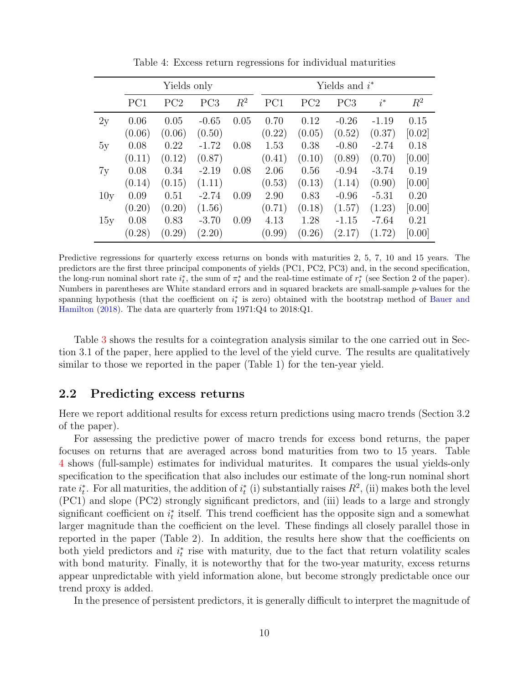|     |        | Yields only |                 |       | Yields and $i^*$ |        |                 |         |        |
|-----|--------|-------------|-----------------|-------|------------------|--------|-----------------|---------|--------|
|     | PC1    | PC2         | PC <sub>3</sub> | $R^2$ | PC1              | PC2    | PC <sub>3</sub> | $i^*$   | $R^2$  |
| 2y  | 0.06   | 0.05        | $-0.65$         | 0.05  | 0.70             | 0.12   | $-0.26$         | $-1.19$ | 0.15   |
|     | (0.06) | (0.06)      | (0.50)          |       | (0.22)           | (0.05) | (0.52)          | (0.37)  | [0.02] |
| 5y  | 0.08   | 0.22        | $-1.72$         | 0.08  | 1.53             | 0.38   | $-0.80$         | $-2.74$ | 0.18   |
|     | (0.11) | (0.12)      | (0.87)          |       | (0.41)           | (0.10) | (0.89)          | (0.70)  | [0.00] |
| 7y  | 0.08   | 0.34        | $-2.19$         | 0.08  | 2.06             | 0.56   | $-0.94$         | $-3.74$ | 0.19   |
|     | (0.14) | (0.15)      | (1.11)          |       | (0.53)           | (0.13) | (1.14)          | (0.90)  | [0.00] |
| 10y | 0.09   | 0.51        | $-2.74$         | 0.09  | 2.90             | 0.83   | $-0.96$         | $-5.31$ | 0.20   |
|     | (0.20) | (0.20)      | (1.56)          |       | (0.71)           | (0.18) | (1.57)          | (1.23)  | [0.00] |
| 15y | 0.08   | 0.83        | $-3.70$         | 0.09  | 4.13             | 1.28   | $-1.15$         | $-7.64$ | 0.21   |
|     | (0.28) | (0.29)      | (2.20)          |       | (0.99)           | (0.26) | (2.17)          | (1.72)  | [0.00] |

<span id="page-9-0"></span>Table 4: Excess return regressions for individual maturities

Predictive regressions for quarterly excess returns on bonds with maturities 2, 5, 7, 10 and 15 years. The predictors are the first three principal components of yields (PC1, PC2, PC3) and, in the second specification, the long-run nominal short rate  $i_t^*$ , the sum of  $\pi_t^*$  and the real-time estimate of  $r_t^*$  (see Section 2 of the paper). Numbers in parentheses are White standard errors and in squared brackets are small-sample p-values for the spanning hypothesis (that the coefficient on  $i_t^*$  is zero) obtained with the bootstrap method of [Bauer and](#page-22-1) [Hamilton](#page-22-1) [\(2018\)](#page-22-1). The data are quarterly from 1971:Q4 to 2018:Q1.

Table [3](#page-8-0) shows the results for a cointegration analysis similar to the one carried out in Section 3.1 of the paper, here applied to the level of the yield curve. The results are qualitatively similar to those we reported in the paper (Table 1) for the ten-year yield.

### 2.2 Predicting excess returns

Here we report additional results for excess return predictions using macro trends (Section 3.2 of the paper).

For assessing the predictive power of macro trends for excess bond returns, the paper focuses on returns that are averaged across bond maturities from two to 15 years. Table [4](#page-9-0) shows (full-sample) estimates for individual maturites. It compares the usual yields-only specification to the specification that also includes our estimate of the long-run nominal short rate  $i_t^*$ . For all maturities, the addition of  $i_t^*$  (i) substantially raises  $R^2$ , (ii) makes both the level (PC1) and slope (PC2) strongly significant predictors, and (iii) leads to a large and strongly significant coefficient on  $i_t^*$  itself. This trend coefficient has the opposite sign and a somewhat larger magnitude than the coefficient on the level. These findings all closely parallel those in reported in the paper (Table 2). In addition, the results here show that the coefficients on both yield predictors and  $i_t^*$  rise with maturity, due to the fact that return volatility scales with bond maturity. Finally, it is noteworthy that for the two-year maturity, excess returns appear unpredictable with yield information alone, but become strongly predictable once our trend proxy is added.

In the presence of persistent predictors, it is generally difficult to interpret the magnitude of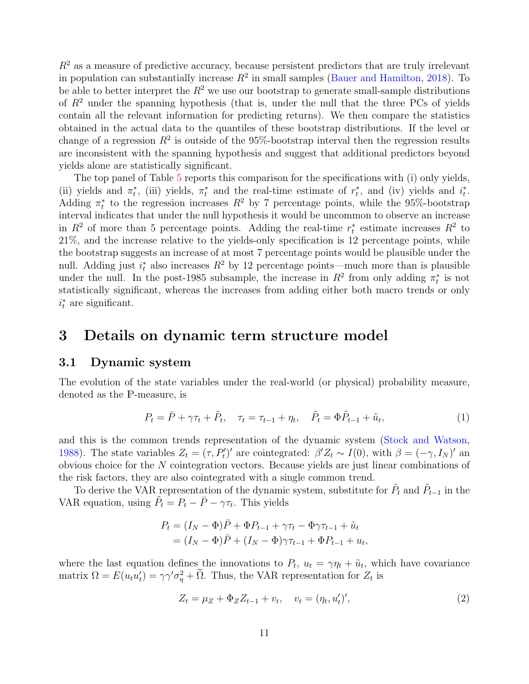$R<sup>2</sup>$  as a measure of predictive accuracy, because persistent predictors that are truly irrelevant in population can substantially increase  $R^2$  in small samples [\(Bauer and Hamilton,](#page-22-1) [2018\)](#page-22-1). To be able to better interpret the  $R^2$  we use our bootstrap to generate small-sample distributions of  $R^2$  under the spanning hypothesis (that is, under the null that the three PCs of yields contain all the relevant information for predicting returns). We then compare the statistics obtained in the actual data to the quantiles of these bootstrap distributions. If the level or change of a regression  $R^2$  is outside of the 95%-bootstrap interval then the regression results are inconsistent with the spanning hypothesis and suggest that additional predictors beyond yields alone are statistically significant.

The top panel of Table [5](#page-11-0) reports this comparison for the specifications with (i) only yields, (ii) yields and  $\pi_t^*$ , (iii) yields,  $\pi_t^*$  and the real-time estimate of  $r_t^*$ , and (iv) yields and  $i_t^*$ . Adding  $\pi_t^*$  to the regression increases  $R^2$  by 7 percentage points, while the 95%-bootstrap interval indicates that under the null hypothesis it would be uncommon to observe an increase in  $R^2$  of more than 5 percentage points. Adding the real-time  $r_t^*$  estimate increases  $R^2$  to 21%, and the increase relative to the yields-only specification is 12 percentage points, while the bootstrap suggests an increase of at most 7 percentage points would be plausible under the null. Adding just  $i_t^*$  also increases  $R^2$  by 12 percentage points—much more than is plausible under the null. In the post-1985 subsample, the increase in  $R^2$  from only adding  $\pi_t^*$  is not statistically significant, whereas the increases from adding either both macro trends or only  $i_t^*$  are significant.

### 3 Details on dynamic term structure model

#### 3.1 Dynamic system

The evolution of the state variables under the real-world (or physical) probability measure, denoted as the P-measure, is

<span id="page-10-1"></span>
$$
P_t = \bar{P} + \gamma \tau_t + \tilde{P}_t, \quad \tau_t = \tau_{t-1} + \eta_t, \quad \tilde{P}_t = \Phi \tilde{P}_{t-1} + \tilde{u}_t,
$$
\n(1)

and this is the common trends representation of the dynamic system [\(Stock and Watson,](#page-24-10) [1988\)](#page-24-10). The state variables  $Z_t = (\tau, P'_t)'$  are cointegrated:  $\beta' Z_t \sim I(0)$ , with  $\beta = (-\gamma, I_N)'$  and obvious choice for the N cointegration vectors. Because yields are just linear combinations of the risk factors, they are also cointegrated with a single common trend.

To derive the VAR representation of the dynamic system, substitute for  $\tilde{P}_t$  and  $\tilde{P}_{t-1}$  in the VAR equation, using  $\tilde{P}_t = P_t - \bar{P} - \gamma \tau_t$ . This yields

$$
P_t = (I_N - \Phi)\bar{P} + \Phi P_{t-1} + \gamma \tau_t - \Phi \gamma \tau_{t-1} + \tilde{u}_t
$$
  
=  $(I_N - \Phi)\bar{P} + (I_N - \Phi)\gamma \tau_{t-1} + \Phi P_{t-1} + u_t,$ 

where the last equation defines the innovations to  $P_t$ ,  $u_t = \gamma \eta_t + \tilde{u}_t$ , which have covariance matrix  $\Omega = E(u_t u'_t) = \gamma \gamma' \sigma_\eta^2 + \Omega$ . Thus, the VAR representation for  $Z_t$  is

<span id="page-10-0"></span>
$$
Z_t = \mu_Z + \Phi_Z Z_{t-1} + v_t, \quad v_t = (\eta_t, u'_t)', \tag{2}
$$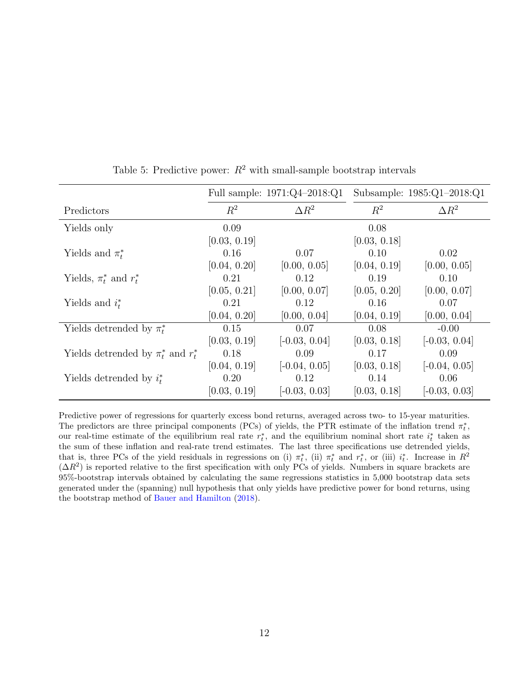|                                           | Full sample: $1971:Q4-2018:Q1$ |                 |              | Subsample: 1985:Q1-2018:Q1 |  |
|-------------------------------------------|--------------------------------|-----------------|--------------|----------------------------|--|
| Predictors                                | $R^2$                          | $\Delta R^2$    | $R^2$        | $\Delta R^2$               |  |
| Yields only                               | 0.09                           |                 | 0.08         |                            |  |
|                                           | [0.03, 0.19]                   |                 | [0.03, 0.18] |                            |  |
| Yields and $\pi_t^*$                      | 0.16                           | 0.07            | 0.10         | 0.02                       |  |
|                                           | [0.04, 0.20]                   | [0.00, 0.05]    | [0.04, 0.19] | [0.00, 0.05]               |  |
| Yields, $\pi_t^*$ and $r_t^*$             | 0.21                           | 0.12            | 0.19         | 0.10                       |  |
|                                           | [0.05, 0.21]                   | [0.00, 0.07]    | [0.05, 0.20] | [0.00, 0.07]               |  |
| Yields and $i_t^*$                        | 0.21                           | 0.12            | 0.16         | 0.07                       |  |
|                                           | [0.04, 0.20]                   | [0.00, 0.04]    | [0.04, 0.19] | [0.00, 0.04]               |  |
| Yields detrended by $\pi_t^*$             | 0.15                           | 0.07            | 0.08         | $-0.00$                    |  |
|                                           | [0.03, 0.19]                   | $[-0.03, 0.04]$ | [0.03, 0.18] | $[-0.03, 0.04]$            |  |
| Yields deternded by $\pi_t^*$ and $r_t^*$ | 0.18                           | 0.09            | 0.17         | 0.09                       |  |
|                                           | [0.04, 0.19]                   | $[-0.04, 0.05]$ | [0.03, 0.18] | $[-0.04, 0.05]$            |  |
| Yields detrended by $i_t^*$               | 0.20                           | 0.12            | 0.14         | 0.06                       |  |
|                                           | [0.03, 0.19]                   | $[-0.03, 0.03]$ | [0.03, 0.18] | $[-0.03, 0.03]$            |  |

<span id="page-11-0"></span>Table 5: Predictive power:  $R^2$  with small-sample bootstrap intervals

Predictive power of regressions for quarterly excess bond returns, averaged across two- to 15-year maturities. The predictors are three principal components (PCs) of yields, the PTR estimate of the inflation trend  $\pi_t^*$ , our real-time estimate of the equilibrium real rate  $r_t^*$ , and the equilibrium nominal short rate  $i_t^*$  taken as the sum of these inflation and real-rate trend estimates. The last three specifications use detrended yields, that is, three PCs of the yield residuals in regressions on (i)  $\pi_t^*$ , (ii)  $\pi_t^*$  and  $r_t^*$ , or (iii)  $i_t^*$ . Increase in  $R^2$  $(\Delta R^2)$  is reported relative to the first specification with only PCs of yields. Numbers in square brackets are 95%-bootstrap intervals obtained by calculating the same regressions statistics in 5,000 bootstrap data sets generated under the (spanning) null hypothesis that only yields have predictive power for bond returns, using the bootstrap method of [Bauer and Hamilton](#page-22-1) [\(2018\)](#page-22-1).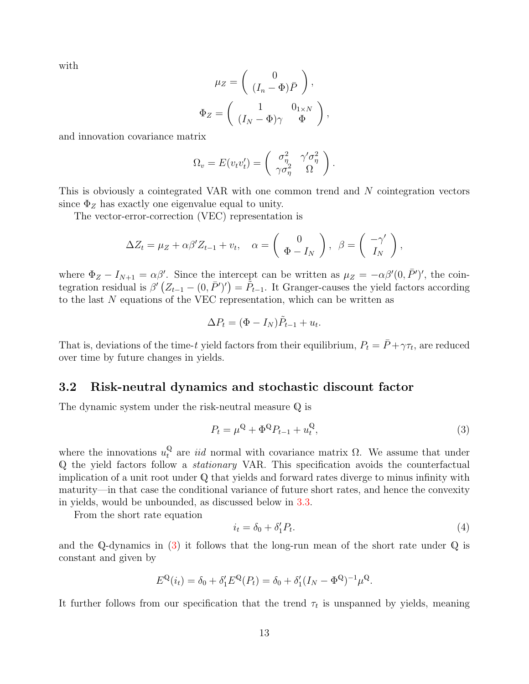with

$$
\mu_Z = \begin{pmatrix} 0 \\ (I_n - \Phi)\bar{P} \end{pmatrix},
$$

$$
\Phi_Z = \begin{pmatrix} 1 & 0_{1 \times N} \\ (I_N - \Phi)\gamma & \Phi \end{pmatrix},
$$

and innovation covariance matrix

$$
\Omega_v = E(v_t v'_t) = \begin{pmatrix} \sigma_\eta^2 & \gamma' \sigma_\eta^2 \\ \gamma \sigma_\eta^2 & \Omega \end{pmatrix}.
$$

This is obviously a cointegrated VAR with one common trend and N cointegration vectors since  $\Phi_Z$  has exactly one eigenvalue equal to unity.

The vector-error-correction (VEC) representation is

$$
\Delta Z_t = \mu_Z + \alpha \beta' Z_{t-1} + v_t, \quad \alpha = \begin{pmatrix} 0 \\ \Phi - I_N \end{pmatrix}, \ \beta = \begin{pmatrix} -\gamma' \\ I_N \end{pmatrix},
$$

where  $\Phi_Z - I_{N+1} = \alpha \beta'$ . Since the intercept can be written as  $\mu_Z = -\alpha \beta'(0, \bar{P}')'$ , the cointegration residual is  $\beta'(Z_{t-1}-(0,\bar{P}')')=\tilde{P}_{t-1}$ . It Granger-causes the yield factors according to the last N equations of the VEC representation, which can be written as

$$
\Delta P_t = (\Phi - I_N)\tilde{P}_{t-1} + u_t.
$$

That is, deviations of the time-t yield factors from their equilibrium,  $P_t = \bar{P} + \gamma \tau_t$ , are reduced over time by future changes in yields.

#### 3.2 Risk-neutral dynamics and stochastic discount factor

The dynamic system under the risk-neutral measure Q is

<span id="page-12-0"></span>
$$
P_t = \mu^{\mathbb{Q}} + \Phi^{\mathbb{Q}} P_{t-1} + u_t^{\mathbb{Q}},\tag{3}
$$

where the innovations  $u_t^{\mathbb{Q}}$  are *iid* normal with covariance matrix  $\Omega$ . We assume that under Q the yield factors follow a stationary VAR. This specification avoids the counterfactual implication of a unit root under Q that yields and forward rates diverge to minus infinity with maturity—in that case the conditional variance of future short rates, and hence the convexity in yields, would be unbounded, as discussed below in [3.3.](#page-14-0)

From the short rate equation

<span id="page-12-1"></span>
$$
i_t = \delta_0 + \delta'_1 P_t. \tag{4}
$$

and the Q-dynamics in  $(3)$  it follows that the long-run mean of the short rate under Q is constant and given by

$$
E^{\mathbb{Q}}(i_t) = \delta_0 + \delta'_1 E^{\mathbb{Q}}(P_t) = \delta_0 + \delta'_1 (I_N - \Phi^{\mathbb{Q}})^{-1} \mu^{\mathbb{Q}}.
$$

It further follows from our specification that the trend  $\tau_t$  is unspanned by yields, meaning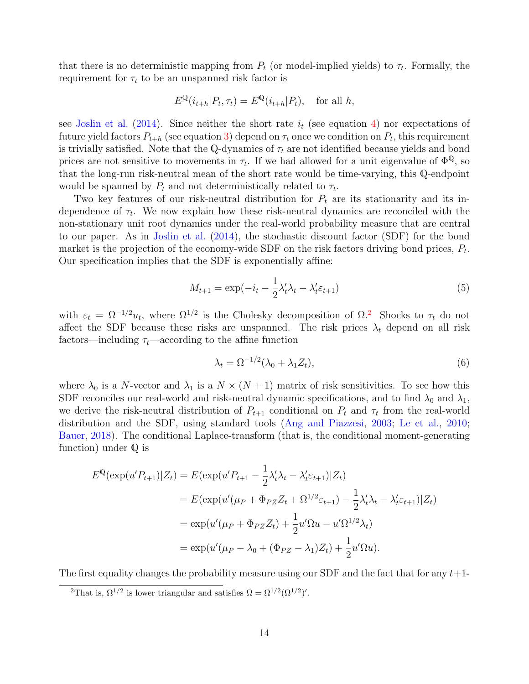that there is no deterministic mapping from  $P_t$  (or model-implied yields) to  $\tau_t$ . Formally, the requirement for  $\tau_t$  to be an unspanned risk factor is

$$
E^{\mathbb{Q}}(i_{t+h}|P_t, \tau_t) = E^{\mathbb{Q}}(i_{t+h}|P_t), \text{ for all } h,
$$

see [Joslin et al.](#page-23-8) [\(2014\)](#page-23-8). Since neither the short rate  $i_t$  (see equation [4\)](#page-12-1) nor expectations of future yield factors  $P_{t+h}$  (see equation [3\)](#page-12-0) depend on  $\tau_t$  once we condition on  $P_t$ , this requirement is trivially satisfied. Note that the Q-dynamics of  $\tau_t$  are not identified because yields and bond prices are not sensitive to movements in  $\tau_t$ . If we had allowed for a unit eigenvalue of  $\Phi^{\mathbb{Q}}$ , so that the long-run risk-neutral mean of the short rate would be time-varying, this Q-endpoint would be spanned by  $P_t$  and not deterministically related to  $\tau_t$ .

Two key features of our risk-neutral distribution for  $P_t$  are its stationarity and its independence of  $\tau_t$ . We now explain how these risk-neutral dynamics are reconciled with the non-stationary unit root dynamics under the real-world probability measure that are central to our paper. As in [Joslin et al.](#page-23-8) [\(2014\)](#page-23-8), the stochastic discount factor (SDF) for the bond market is the projection of the economy-wide SDF on the risk factors driving bond prices,  $P_t$ . Our specification implies that the SDF is exponentially affine:

$$
M_{t+1} = \exp(-i_t - \frac{1}{2}\lambda_t'\lambda_t - \lambda_t'\varepsilon_{t+1})
$$
\n(5)

with  $\varepsilon_t = \Omega^{-1/2} u_t$  $\varepsilon_t = \Omega^{-1/2} u_t$  $\varepsilon_t = \Omega^{-1/2} u_t$ , where  $\Omega^{1/2}$  is the Cholesky decomposition of  $\Omega$ <sup>2</sup>. Shocks to  $\tau_t$  do not affect the SDF because these risks are unspanned. The risk prices  $\lambda_t$  depend on all risk factors—including  $\tau_t$ —according to the affine function

<span id="page-13-1"></span>
$$
\lambda_t = \Omega^{-1/2} (\lambda_0 + \lambda_1 Z_t), \tag{6}
$$

where  $\lambda_0$  is a N-vector and  $\lambda_1$  is a  $N \times (N+1)$  matrix of risk sensitivities. To see how this SDF reconciles our real-world and risk-neutral dynamic specifications, and to find  $\lambda_0$  and  $\lambda_1$ , we derive the risk-neutral distribution of  $P_{t+1}$  conditional on  $P_t$  and  $\tau_t$  from the real-world distribution and the SDF, using standard tools [\(Ang and Piazzesi,](#page-22-2) [2003;](#page-22-2) [Le et al.,](#page-24-11) [2010;](#page-24-11) [Bauer,](#page-22-3) [2018\)](#page-22-3). The conditional Laplace-transform (that is, the conditional moment-generating function) under Q is

$$
E^{Q}(\exp(u'P_{t+1})|Z_{t}) = E(\exp(u'P_{t+1} - \frac{1}{2}\lambda'_{t}\lambda_{t} - \lambda'_{t}\varepsilon_{t+1})|Z_{t})
$$
  
= 
$$
E(\exp(u'(\mu_{P} + \Phi_{PZ}Z_{t} + \Omega^{1/2}\varepsilon_{t+1}) - \frac{1}{2}\lambda'_{t}\lambda_{t} - \lambda'_{t}\varepsilon_{t+1})|Z_{t})
$$
  
= 
$$
\exp(u'(\mu_{P} + \Phi_{PZ}Z_{t}) + \frac{1}{2}u'\Omega u - u'\Omega^{1/2}\lambda_{t})
$$
  
= 
$$
\exp(u'(\mu_{P} - \lambda_{0} + (\Phi_{PZ} - \lambda_{1})Z_{t}) + \frac{1}{2}u'\Omega u).
$$

The first equality changes the probability measure using our SDF and the fact that for any  $t+1$ -

<span id="page-13-0"></span><sup>&</sup>lt;sup>2</sup>That is,  $\Omega^{1/2}$  is lower triangular and satisfies  $\Omega = \Omega^{1/2}(\Omega^{1/2})'$ .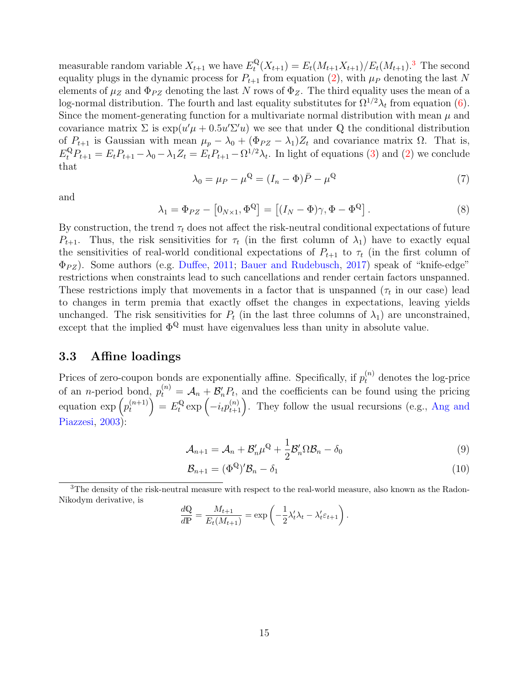measurable random variable  $X_{t+1}$  we have  $E_t^{\mathbb{Q}}$  $t_{t}^{\mathbb{Q}}(X_{t+1}) = E_{t}(M_{t+1}X_{t+1})/E_{t}(M_{t+1}).^{3}$  $t_{t}^{\mathbb{Q}}(X_{t+1}) = E_{t}(M_{t+1}X_{t+1})/E_{t}(M_{t+1}).^{3}$  $t_{t}^{\mathbb{Q}}(X_{t+1}) = E_{t}(M_{t+1}X_{t+1})/E_{t}(M_{t+1}).^{3}$  The second equality plugs in the dynamic process for  $P_{t+1}$  from equation [\(2\)](#page-10-0), with  $\mu_P$  denoting the last N elements of  $\mu_Z$  and  $\Phi_{PZ}$  denoting the last N rows of  $\Phi_Z$ . The third equality uses the mean of a log-normal distribution. The fourth and last equality substitutes for  $\Omega^{1/2}\lambda_t$  from equation [\(6\)](#page-13-1). Since the moment-generating function for a multivariate normal distribution with mean  $\mu$  and covariance matrix  $\Sigma$  is  $\exp(u'\mu + 0.5u'\Sigma'u)$  we see that under Q the conditional distribution of  $P_{t+1}$  is Gaussian with mean  $\mu_p - \lambda_0 + (\Phi_{PZ} - \lambda_1)Z_t$  and covariance matrix  $\Omega$ . That is,  $E_t^{\mathbb{Q}} P_{t+1} = E_t P_{t+1} - \lambda_0 - \lambda_1 Z_t = E_t P_{t+1} - \Omega^{1/2} \lambda_t$ . In light of equations [\(3\)](#page-12-0) and [\(2\)](#page-10-0) we conclude that

$$
\lambda_0 = \mu_P - \mu^{\mathbb{Q}} = (I_n - \Phi)\overline{P} - \mu^{\mathbb{Q}} \tag{7}
$$

and

<span id="page-14-4"></span>
$$
\lambda_1 = \Phi_{PZ} - [0_{N \times 1}, \Phi^{\mathbb{Q}}] = [(I_N - \Phi)\gamma, \Phi - \Phi^{\mathbb{Q}}].
$$
\n(8)

By construction, the trend  $\tau_t$  does not affect the risk-neutral conditional expectations of future  $P_{t+1}$ . Thus, the risk sensitivities for  $\tau_t$  (in the first column of  $\lambda_1$ ) have to exactly equal the sensitivities of real-world conditional expectations of  $P_{t+1}$  to  $\tau_t$  (in the first column of  $\Phi_{PZ}$ ). Some authors (e.g. [Duffee,](#page-23-9) [2011;](#page-23-9) [Bauer and Rudebusch,](#page-22-4) [2017\)](#page-22-4) speak of "knife-edge" restrictions when constraints lead to such cancellations and render certain factors unspanned. These restrictions imply that movements in a factor that is unspanned  $(\tau_t$  in our case) lead to changes in term premia that exactly offset the changes in expectations, leaving yields unchanged. The risk sensitivities for  $P_t$  (in the last three columns of  $\lambda_1$ ) are unconstrained, except that the implied  $\Phi^{\mathbb{Q}}$  must have eigenvalues less than unity in absolute value.

### <span id="page-14-0"></span>3.3 Affine loadings

Prices of zero-coupon bonds are exponentially affine. Specifically, if  $p_t^{(n)}$  denotes the log-price of an *n*-period bond,  $p_t^{(n)} = A_n + B'_n P_t$ , and the coefficients can be found using the pricing equation  $\exp\left(p_t^{(n+1)}\right)$  $\binom{n+1}{t}$  =  $E_t^{\mathbb{Q}}$  $\mathbb{R}^{\mathbb{Q}}_t$  exp  $\left(-i_t p_{t+1}^{(n)}\right)$ . They follow the usual recursions (e.g., [Ang and](#page-22-2) [Piazzesi,](#page-22-2) [2003\)](#page-22-2):

$$
\mathcal{A}_{n+1} = \mathcal{A}_n + \mathcal{B}'_n \mu^{\mathbb{Q}} + \frac{1}{2} \mathcal{B}'_n \Omega \mathcal{B}_n - \delta_0 \tag{9}
$$

<span id="page-14-3"></span><span id="page-14-2"></span>
$$
\mathcal{B}_{n+1} = (\Phi^{\mathbb{Q}})' \mathcal{B}_n - \delta_1 \tag{10}
$$

<span id="page-14-1"></span><sup>3</sup>The density of the risk-neutral measure with respect to the real-world measure, also known as the Radon-Nikodym derivative, is

$$
\frac{d\mathbb{Q}}{d\mathbb{P}} = \frac{M_{t+1}}{E_t(M_{t+1})} = \exp\left(-\frac{1}{2}\lambda_t'\lambda_t - \lambda_t'\varepsilon_{t+1}\right).
$$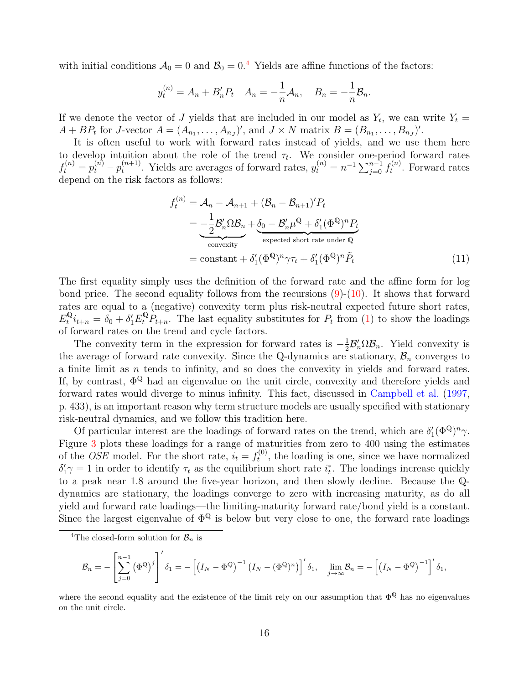with initial conditions  $A_0 = 0$  and  $B_0 = 0.4$  $B_0 = 0.4$  Yields are affine functions of the factors:

$$
y_t^{(n)} = A_n + B'_n P_t
$$
  $A_n = -\frac{1}{n} A_n$ ,  $B_n = -\frac{1}{n} B_n$ .

If we denote the vector of J yields that are included in our model as  $Y_t$ , we can write  $Y_t =$  $A + BP_t$  for J-vector  $A = (A_{n_1}, \ldots, A_{n_J})'$ , and  $J \times N$  matrix  $B = (B_{n_1}, \ldots, B_{n_J})'$ .

It is often useful to work with forward rates instead of yields, and we use them here to develop intuition about the role of the trend  $\tau_t$ . We consider one-period forward rates  $f_t^{(n)} = p_t^{(n)} - p_t^{(n+1)}$  $t_t^{(n+1)}$ . Yields are averages of forward rates,  $y_t^{(n)} = n^{-1} \sum_{j=0}^{n-1} f_t^{(n)}$  $t^{(n)}$ . Forward rates depend on the risk factors as follows:

<span id="page-15-1"></span>
$$
f_t^{(n)} = \mathcal{A}_n - \mathcal{A}_{n+1} + (\mathcal{B}_n - \mathcal{B}_{n+1})' P_t
$$
  
= 
$$
-\frac{1}{2} \mathcal{B}_n' \Omega \mathcal{B}_n + \underbrace{\delta_0 - \mathcal{B}_n' \mu^{\mathbb{Q}} + \delta_1' (\Phi^{\mathbb{Q}})^n P_t}_{\text{expected short rate under } \mathbb{Q}}
$$
  
= constant + 
$$
\delta_1' (\Phi^{\mathbb{Q}})^n \gamma \tau_t + \delta_1' (\Phi^{\mathbb{Q}})^n \tilde{P}_t
$$
 (11)

The first equality simply uses the definition of the forward rate and the affine form for log bond price. The second equality follows from the recursions  $(9)-(10)$  $(9)-(10)$  $(9)-(10)$ . It shows that forward rates are equal to a (negative) convexity term plus risk-neutral expected future short rates,  $E_t^{\mathbb{Q}}$  $\mathcal{L}_{t}^{\mathbb{Q}}i_{t+n} = \delta_0 + \delta_1'E_t^{\mathbb{Q}}P_{t+n}$ . The last equality substitutes for  $P_t$  from [\(1\)](#page-10-1) to show the loadings of forward rates on the trend and cycle factors.

The convexity term in the expression for forward rates is  $-\frac{1}{2}$  $\frac{1}{2} \mathcal{B}'_n \Omega \mathcal{B}_n$ . Yield convexity is the average of forward rate convexity. Since the Q-dynamics are stationary,  $\mathcal{B}_n$  converges to a finite limit as  $n$  tends to infinity, and so does the convexity in yields and forward rates. If, by contrast,  $\Phi^{\mathbb{Q}}$  had an eigenvalue on the unit circle, convexity and therefore yields and forward rates would diverge to minus infinity. This fact, discussed in [Campbell et al.](#page-23-10) [\(1997,](#page-23-10) p. 433), is an important reason why term structure models are usually specified with stationary risk-neutral dynamics, and we follow this tradition here.

Of particular interest are the loadings of forward rates on the trend, which are  $\delta'_{1}(\Phi^{\mathbb{Q}})^{n}\gamma$ . Figure [3](#page-16-0) plots these loadings for a range of maturities from zero to 400 using the estimates of the *OSE* model. For the short rate,  $i_t = f_t^{(0)}$  $t_t^{(0)}$ , the loading is one, since we have normalized  $\delta'_1\gamma=1$  in order to identify  $\tau_t$  as the equilibrium short rate  $i_t^*$ . The loadings increase quickly to a peak near 1.8 around the five-year horizon, and then slowly decline. Because the Qdynamics are stationary, the loadings converge to zero with increasing maturity, as do all yield and forward rate loadings—the limiting-maturity forward rate/bond yield is a constant. Since the largest eigenvalue of  $\Phi^{\mathbb{Q}}$  is below but very close to one, the forward rate loadings

$$
\mathcal{B}_n = -\left[\sum_{j=0}^{n-1} \left(\Phi^{\mathbb{Q}}\right)^j\right]' \delta_1 = -\left[\left(I_N - \Phi^{\mathbb{Q}}\right)^{-1} \left(I_N - \left(\Phi^{\mathbb{Q}}\right)^n\right)\right]' \delta_1, \quad \lim_{j \to \infty} \mathcal{B}_n = -\left[\left(I_N - \Phi^{\mathbb{Q}}\right)^{-1}\right]'\delta_1,
$$

where the second equality and the existence of the limit rely on our assumption that  $\Phi^{\mathbb{Q}}$  has no eigenvalues on the unit circle.

<span id="page-15-0"></span><sup>&</sup>lt;sup>4</sup>The closed-form solution for  $\mathcal{B}_n$  is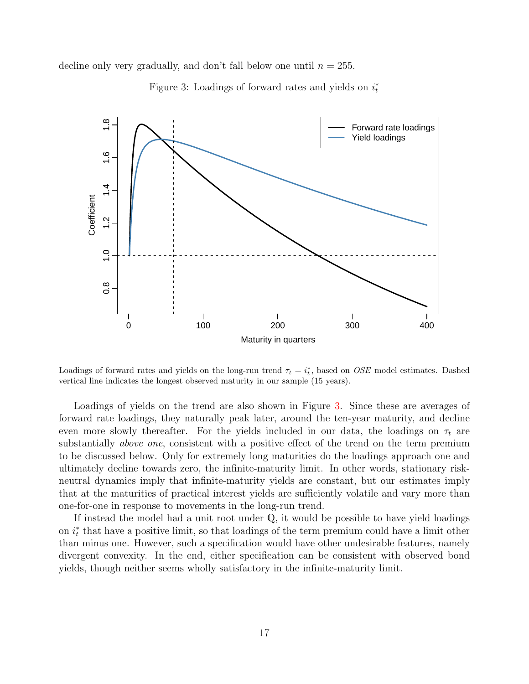decline only very gradually, and don't fall below one until  $n = 255$ .



<span id="page-16-0"></span>Figure 3: Loadings of forward rates and yields on  $i_t^*$ 

Loadings of forward rates and yields on the long-run trend  $\tau_t = i_t^*$ , based on *OSE* model estimates. Dashed vertical line indicates the longest observed maturity in our sample (15 years).

Loadings of yields on the trend are also shown in Figure [3.](#page-16-0) Since these are averages of forward rate loadings, they naturally peak later, around the ten-year maturity, and decline even more slowly thereafter. For the yields included in our data, the loadings on  $\tau_t$  are substantially *above one*, consistent with a positive effect of the trend on the term premium to be discussed below. Only for extremely long maturities do the loadings approach one and ultimately decline towards zero, the infinite-maturity limit. In other words, stationary riskneutral dynamics imply that infinite-maturity yields are constant, but our estimates imply that at the maturities of practical interest yields are sufficiently volatile and vary more than one-for-one in response to movements in the long-run trend.

If instead the model had a unit root under  $\mathbb{Q}$ , it would be possible to have yield loadings on  $i_t^*$  that have a positive limit, so that loadings of the term premium could have a limit other than minus one. However, such a specification would have other undesirable features, namely divergent convexity. In the end, either specification can be consistent with observed bond yields, though neither seems wholly satisfactory in the infinite-maturity limit.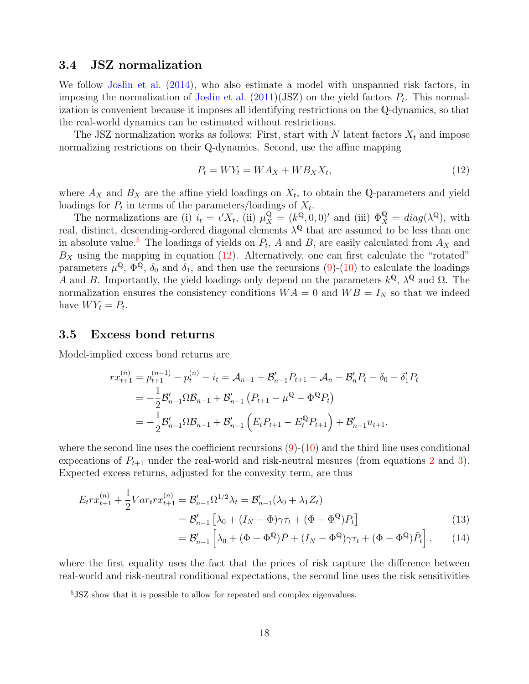#### 3.4 JSZ normalization

We follow [Joslin et al.](#page-23-8) [\(2014\)](#page-23-8), who also estimate a model with unspanned risk factors, in imposing the normalization of [Joslin et al.](#page-24-12)  $(2011)(JSZ)$  $(2011)(JSZ)$  on the yield factors  $P_t$ . This normalization is convenient because it imposes all identifying restrictions on the Q-dynamics, so that the real-world dynamics can be estimated without restrictions.

The JSZ normalization works as follows: First, start with N latent factors  $X_t$  and impose normalizing restrictions on their Q-dynamics. Second, use the affine mapping

<span id="page-17-1"></span>
$$
P_t = W Y_t = W A_X + W B_X X_t,\tag{12}
$$

where  $A_X$  and  $B_X$  are the affine yield loadings on  $X_t$ , to obtain the Q-parameters and yield loadings for  $P_t$  in terms of the parameters/loadings of  $X_t$ .

The normalizations are (i)  $i_t = \iota' X_t$ , (ii)  $\mu_X^{\mathbb{Q}} = (k^{\mathbb{Q}}, 0, 0)'$  and (iii)  $\Phi_X^{\mathbb{Q}} = diag(\lambda^{\mathbb{Q}})$ , with real, distinct, descending-ordered diagonal elements  $\lambda^{\mathbb{Q}}$  that are assumed to be less than one in absolute value.<sup>[5](#page-17-0)</sup> The loadings of yields on  $P_t$ , A and B, are easily calculated from  $A_X$  and  $B_X$  using the mapping in equation [\(12\)](#page-17-1). Alternatively, one can first calculate the "rotated" parameters  $\mu^{\mathbb{Q}}, \Phi^{\mathbb{Q}}, \delta_0$  and  $\delta_1$ , and then use the recursions [\(9\)](#page-14-2)-[\(10\)](#page-14-3) to calculate the loadings A and B. Importantly, the yield loadings only depend on the parameters  $k^{\mathbb{Q}}, \lambda^{\mathbb{Q}}$  and  $\Omega$ . The normalization ensures the consistency conditions  $WA = 0$  and  $WB = I_N$  so that we indeed have  $WY_t = P_t$ .

#### 3.5 Excess bond returns

Model-implied excess bond returns are

$$
rx_{t+1}^{(n)} = p_{t+1}^{(n-1)} - p_t^{(n)} - i_t = \mathcal{A}_{n-1} + \mathcal{B}_{n-1}'P_{t+1} - \mathcal{A}_n - \mathcal{B}_n'P_t - \delta_0 - \delta_1'P_t
$$
  
=  $-\frac{1}{2}\mathcal{B}_{n-1}'\Omega\mathcal{B}_{n-1} + \mathcal{B}_{n-1}'(P_{t+1} - \mu^{\mathbb{Q}} - \Phi^{\mathbb{Q}}P_t)$   
=  $-\frac{1}{2}\mathcal{B}_{n-1}'\Omega\mathcal{B}_{n-1} + \mathcal{B}_{n-1}'(E_tP_{t+1} - E_t^{\mathbb{Q}}P_{t+1}) + \mathcal{B}_{n-1}'u_{t+1}.$ 

where the second line uses the coefficient recursions  $(9)-(10)$  $(9)-(10)$  $(9)-(10)$  and the third line uses conditional expecations of  $P_{t+1}$  under the real-world and risk-neutral mesures (from equations [2](#page-10-0) and [3\)](#page-12-0). Expected excess returns, adjusted for the convexity term, are thus

$$
E_t r x_{t+1}^{(n)} + \frac{1}{2} Var_t r x_{t+1}^{(n)} = \mathcal{B}_{n-1}' \Omega^{1/2} \lambda_t = \mathcal{B}_{n-1}' (\lambda_0 + \lambda_1 Z_t)
$$
  
=  $\mathcal{B}_{n-1}' [\lambda_0 + (I_N - \Phi) \gamma \tau_t + (\Phi - \Phi^{\mathbb{Q}}) P_t]$  (13)

<span id="page-17-3"></span><span id="page-17-2"></span>
$$
= \mathcal{B}_{n-1}' \left[ \lambda_0 + (\Phi - \Phi^{\mathbb{Q}}) \bar{P} + (I_N - \Phi^{\mathbb{Q}}) \gamma \tau_t + (\Phi - \Phi^{\mathbb{Q}}) \tilde{P}_t \right], \qquad (14)
$$

where the first equality uses the fact that the prices of risk capture the difference between real-world and risk-neutral conditional expectations, the second line uses the risk sensitivities

<span id="page-17-0"></span><sup>&</sup>lt;sup>5</sup>JSZ show that it is possible to allow for repeated and complex eigenvalues.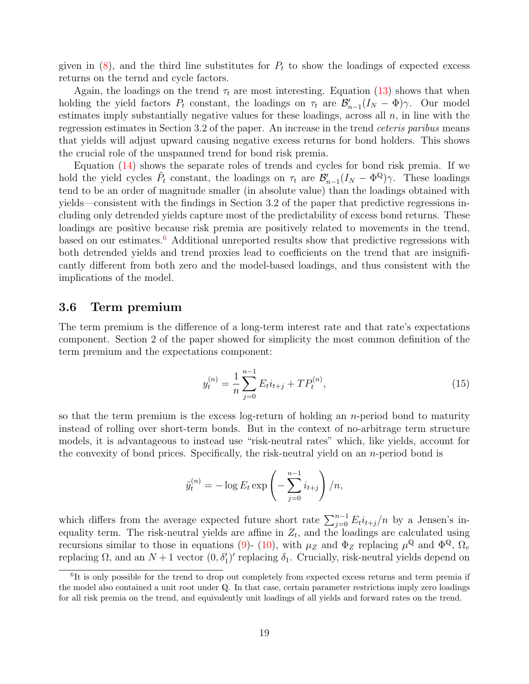given in  $(8)$ , and the third line substitutes for  $P_t$  to show the loadings of expected excess returns on the ternd and cycle factors.

Again, the loadings on the trend  $\tau_t$  are most interesting. Equation [\(13\)](#page-17-2) shows that when holding the yield factors  $P_t$  constant, the loadings on  $\tau_t$  are  $\mathcal{B}_{n-1}'(I_N - \Phi)\gamma$ . Our model estimates imply substantially negative values for these loadings, across all  $n$ , in line with the regression estimates in Section 3.2 of the paper. An increase in the trend ceteris paribus means that yields will adjust upward causing negative excess returns for bond holders. This shows the crucial role of the unspanned trend for bond risk premia.

Equation [\(14\)](#page-17-3) shows the separate roles of trends and cycles for bond risk premia. If we hold the yield cycles  $\tilde{P}_t$  constant, the loadings on  $\tau_t$  are  $\mathcal{B}_{n-1}'(I_N - \Phi^{\mathbb{Q}})\gamma$ . These loadings tend to be an order of magnitude smaller (in absolute value) than the loadings obtained with yields—consistent with the findings in Section 3.2 of the paper that predictive regressions including only detrended yields capture most of the predictability of excess bond returns. These loadings are positive because risk premia are positively related to movements in the trend, based on our estimates.<sup>[6](#page-18-0)</sup> Additional unreported results show that predictive regressions with both detrended yields and trend proxies lead to coefficients on the trend that are insignificantly different from both zero and the model-based loadings, and thus consistent with the implications of the model.

#### 3.6 Term premium

The term premium is the difference of a long-term interest rate and that rate's expectations component. Section 2 of the paper showed for simplicity the most common definition of the term premium and the expectations component:

$$
y_t^{(n)} = \frac{1}{n} \sum_{j=0}^{n-1} E_t i_{t+j} + T P_t^{(n)},
$$
\n(15)

so that the term premium is the excess log-return of holding an  $n$ -period bond to maturity instead of rolling over short-term bonds. But in the context of no-arbitrage term structure models, it is advantageous to instead use "risk-neutral rates" which, like yields, account for the convexity of bond prices. Specifically, the risk-neutral yield on an  $n$ -period bond is

$$
\tilde{y}_t^{(n)} = -\log E_t \exp\left(-\sum_{j=0}^{n-1} i_{t+j}\right)/n,
$$

which differs from the average expected future short rate  $\sum_{j=0}^{n-1} E_t i_{t+j}/n$  by a Jensen's inequality term. The risk-neutral yields are affine in  $Z_t$ , and the loadings are calculated using recursions similar to those in equations [\(9\)](#page-14-2)- [\(10\)](#page-14-3), with  $\mu_Z$  and  $\Phi_Z$  replacing  $\mu^{\mathbb{Q}}$  and  $\Phi^{\mathbb{Q}}$ ,  $\Omega_v$ replacing  $\Omega$ , and an  $N+1$  vector  $(0, \delta'_1)'$  replacing  $\delta_1$ . Crucially, risk-neutral yields depend on

<span id="page-18-0"></span><sup>&</sup>lt;sup>6</sup>It is only possible for the trend to drop out completely from expected excess returns and term premia if the model also contained a unit root under Q. In that case, certain parameter restrictions imply zero loadings for all risk premia on the trend, and equivalently unit loadings of all yields and forward rates on the trend.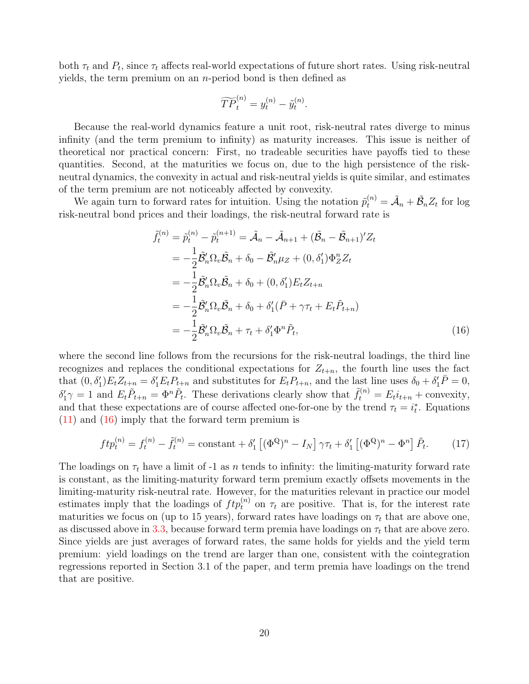both  $\tau_t$  and  $P_t$ , since  $\tau_t$  affects real-world expectations of future short rates. Using risk-neutral yields, the term premium on an *n*-period bond is then defined as

$$
\widetilde{TP}_t^{(n)} = y_t^{(n)} - \widetilde{y}_t^{(n)}.
$$

Because the real-world dynamics feature a unit root, risk-neutral rates diverge to minus infinity (and the term premium to infinity) as maturity increases. This issue is neither of theoretical nor practical concern: First, no tradeable securities have payoffs tied to these quantities. Second, at the maturities we focus on, due to the high persistence of the riskneutral dynamics, the convexity in actual and risk-neutral yields is quite similar, and estimates of the term premium are not noticeably affected by convexity.

We again turn to forward rates for intuition. Using the notation  $\tilde{p}_t^{(n)} = \tilde{A}_n + \tilde{B}_n Z_t$  for log risk-neutral bond prices and their loadings, the risk-neutral forward rate is

<span id="page-19-0"></span>
$$
\tilde{f}_t^{(n)} = \tilde{p}_t^{(n)} - \tilde{p}_t^{(n+1)} = \tilde{\mathcal{A}}_n - \tilde{\mathcal{A}}_{n+1} + (\tilde{\mathcal{B}}_n - \tilde{\mathcal{B}}_{n+1})' Z_t \n= -\frac{1}{2} \tilde{\mathcal{B}}_n' \Omega_v \tilde{\mathcal{B}}_n + \delta_0 - \tilde{\mathcal{B}}_n' \mu_Z + (0, \delta_1') \Phi_Z^n Z_t \n= -\frac{1}{2} \tilde{\mathcal{B}}_n' \Omega_v \tilde{\mathcal{B}}_n + \delta_0 + (0, \delta_1') E_t Z_{t+n} \n= -\frac{1}{2} \tilde{\mathcal{B}}_n' \Omega_v \tilde{\mathcal{B}}_n + \delta_0 + \delta_1' (\bar{P} + \gamma \tau_t + E_t \tilde{P}_{t+n}) \n= -\frac{1}{2} \tilde{\mathcal{B}}_n' \Omega_v \tilde{\mathcal{B}}_n + \tau_t + \delta_1' \Phi^n \tilde{P}_t,
$$
\n(16)

where the second line follows from the recursions for the risk-neutral loadings, the third line recognizes and replaces the conditional expectations for  $Z_{t+n}$ , the fourth line uses the fact that  $(0, \delta'_1) E_t Z_{t+n} = \delta'_1 E_t P_{t+n}$  and substitutes for  $E_t P_{t+n}$ , and the last line uses  $\delta_0 + \delta'_1 \overline{P} = 0$ ,  $\delta'_1\gamma = 1$  and  $E_t\tilde{P}_{t+n} = \Phi^n\tilde{P}_t$ . These derivations clearly show that  $\tilde{f}_t^{(n)} = E_t i_{t+n} +$  convexity, and that these expectations are of course affected one-for-one by the trend  $\tau_t = i_t^*$ . Equations [\(11\)](#page-15-1) and [\(16\)](#page-19-0) imply that the forward term premium is

$$
ftp_t^{(n)} = f_t^{(n)} - \tilde{f}_t^{(n)} = \text{constant} + \delta_1' \left[ (\Phi^{\mathbb{Q}})^n - I_N \right] \gamma \tau_t + \delta_1' \left[ (\Phi^{\mathbb{Q}})^n - \Phi^n \right] \tilde{P}_t.
$$
 (17)

The loadings on  $\tau_t$  have a limit of -1 as n tends to infinity: the limiting-maturity forward rate is constant, as the limiting-maturity forward term premium exactly offsets movements in the limiting-maturity risk-neutral rate. However, for the maturities relevant in practice our model estimates imply that the loadings of  $ftp_t^{(n)}$  on  $\tau_t$  are positive. That is, for the interest rate maturities we focus on (up to 15 years), forward rates have loadings on  $\tau_t$  that are above one, as discussed above in [3.3,](#page-14-0) because forward term premia have loadings on  $\tau_t$  that are above zero. Since yields are just averages of forward rates, the same holds for yields and the yield term premium: yield loadings on the trend are larger than one, consistent with the cointegration regressions reported in Section 3.1 of the paper, and term premia have loadings on the trend that are positive.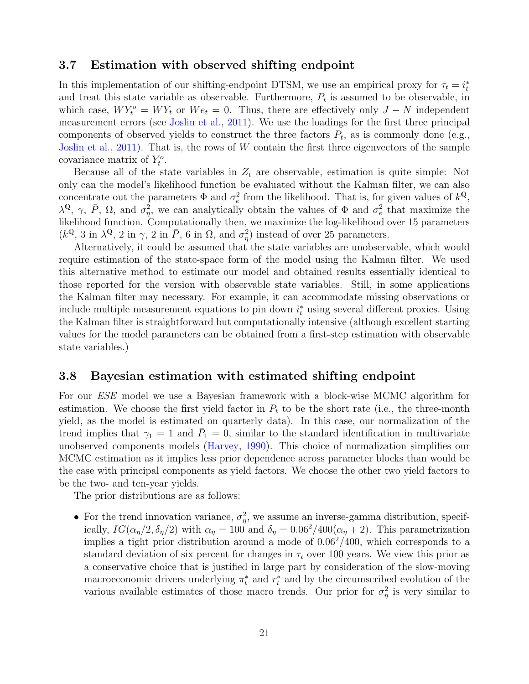### 3.7 Estimation with observed shifting endpoint

In this implementation of our shifting-endpoint DTSM, we use an empirical proxy for  $\tau_t = i_t^*$ and treat this state variable as observable. Furthermore,  $P_t$  is assumed to be observable, in which case,  $W Y_t^o = W Y_t$  or  $W e_t = 0$ . Thus, there are effectively only  $J - N$  independent measurement errors (see [Joslin et al.,](#page-24-12) [2011\)](#page-24-12). We use the loadings for the first three principal components of observed yields to construct the three factors  $P_t$ , as is commonly done (e.g., [Joslin et al.,](#page-24-12) [2011\)](#page-24-12). That is, the rows of  $W$  contain the first three eigenvectors of the sample covariance matrix of  $Y_t^o$ .

Because all of the state variables in  $Z_t$  are observable, estimation is quite simple: Not only can the model's likelihood function be evaluated without the Kalman filter, we can also concentrate out the parameters  $\Phi$  and  $\sigma_e^2$  from the likelihood. That is, for given values of  $k^{\mathbb{Q}}$ ,  $\lambda^{\mathbb{Q}}, \gamma, \bar{P}, \Omega$ , and  $\sigma_{\eta}^2$ , we can analytically obtain the values of Φ and  $\sigma_e^2$  that maximize the likelihood function. Computationally then, we maximize the log-likelihood over 15 parameters  $(k^{\mathbb{Q}}, 3 \text{ in } \lambda^{\mathbb{Q}}, 2 \text{ in } \gamma, 2 \text{ in } \overline{P}, 6 \text{ in } \Omega, \text{ and } \sigma_{\eta}^{2})$  instead of over 25 parameters.

Alternatively, it could be assumed that the state variables are unobservable, which would require estimation of the state-space form of the model using the Kalman filter. We used this alternative method to estimate our model and obtained results essentially identical to those reported for the version with observable state variables. Still, in some applications the Kalman filter may necessary. For example, it can accommodate missing observations or include multiple measurement equations to pin down  $i_t^*$  using several different proxies. Using the Kalman filter is straightforward but computationally intensive (although excellent starting values for the model parameters can be obtained from a first-step estimation with observable state variables.)

#### <span id="page-20-0"></span>3.8 Bayesian estimation with estimated shifting endpoint

For our ESE model we use a Bayesian framework with a block-wise MCMC algorithm for estimation. We choose the first yield factor in  $P_t$  to be the short rate (i.e., the three-month yield, as the model is estimated on quarterly data). In this case, our normalization of the trend implies that  $\gamma_1 = 1$  and  $\bar{P}_1 = 0$ , similar to the standard identification in multivariate unobserved components models [\(Harvey,](#page-23-11) [1990\)](#page-23-11). This choice of normalization simplifies our MCMC estimation as it implies less prior dependence across parameter blocks than would be the case with principal components as yield factors. We choose the other two yield factors to be the two- and ten-year yields.

The prior distributions are as follows:

• For the trend innovation variance,  $\sigma_{\eta}^2$ , we assume an inverse-gamma distribution, specifically,  $IG(\alpha_{\eta}/2, \delta_{\eta}/2)$  with  $\alpha_{\eta} = 100$  and  $\delta_{\eta} = 0.06^2/400(\alpha_{\eta} + 2)$ . This parametrization implies a tight prior distribution around a mode of  $0.06<sup>2</sup>/400$ , which corresponds to a standard deviation of six percent for changes in  $\tau_t$  over 100 years. We view this prior as a conservative choice that is justified in large part by consideration of the slow-moving macroeconomic drivers underlying  $\pi_t^*$  and  $r_t^*$  and by the circumscribed evolution of the various available estimates of those macro trends. Our prior for  $\sigma_{\eta}^2$  is very similar to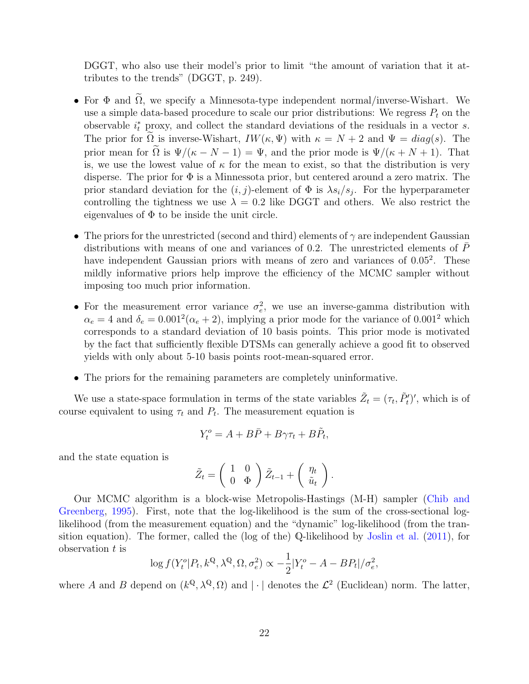DGGT, who also use their model's prior to limit "the amount of variation that it attributes to the trends" (DGGT, p. 249).

- For  $\Phi$  and  $\widetilde{\Omega}$ , we specify a Minnesota-type independent normal/inverse-Wishart. We use a simple data-based procedure to scale our prior distributions: We regress  $P_t$  on the observable  $i_t^*$  proxy, and collect the standard deviations of the residuals in a vector s. The prior for  $\Omega$  is inverse-Wishart,  $IW(\kappa, \Psi)$  with  $\kappa = N + 2$  and  $\Psi = diag(s)$ . The prior mean for  $\Omega$  is  $\Psi/(\kappa - N - 1) = \Psi$ , and the prior mode is  $\Psi/(\kappa + N + 1)$ . That is, we use the lowest value of  $\kappa$  for the mean to exist, so that the distribution is very disperse. The prior for  $\Phi$  is a Minnessota prior, but centered around a zero matrix. The prior standard deviation for the  $(i, j)$ -element of  $\Phi$  is  $\lambda s_i/s_j$ . For the hyperparameter controlling the tightness we use  $\lambda = 0.2$  like DGGT and others. We also restrict the eigenvalues of  $\Phi$  to be inside the unit circle.
- The priors for the unrestricted (second and third) elements of  $\gamma$  are independent Gaussian distributions with means of one and variances of 0.2. The unrestricted elements of  $\bar{P}$ have independent Gaussian priors with means of zero and variances of 0.05<sup>2</sup>. These mildly informative priors help improve the efficiency of the MCMC sampler without imposing too much prior information.
- For the measurement error variance  $\sigma_e^2$ , we use an inverse-gamma distribution with  $\alpha_e = 4$  and  $\delta_e = 0.001^2(\alpha_e + 2)$ , implying a prior mode for the variance of 0.001<sup>2</sup> which corresponds to a standard deviation of 10 basis points. This prior mode is motivated by the fact that sufficiently flexible DTSMs can generally achieve a good fit to observed yields with only about 5-10 basis points root-mean-squared error.
- The priors for the remaining parameters are completely uninformative.

We use a state-space formulation in terms of the state variables  $\tilde{Z}_t = (\tau_t, \tilde{P}'_t)'$ , which is of course equivalent to using  $\tau_t$  and  $P_t$ . The measurement equation is

$$
Y_t^o = A + B\bar{P} + B\gamma\tau_t + B\tilde{P}_t,
$$

and the state equation is

$$
\tilde{Z}_t = \left(\begin{array}{cc} 1 & 0 \\ 0 & \Phi \end{array}\right) \tilde{Z}_{t-1} + \left(\begin{array}{c} \eta_t \\ \tilde{u}_t \end{array}\right).
$$

Our MCMC algorithm is a block-wise Metropolis-Hastings (M-H) sampler [\(Chib and](#page-23-12) [Greenberg,](#page-23-12) [1995\)](#page-23-12). First, note that the log-likelihood is the sum of the cross-sectional loglikelihood (from the measurement equation) and the "dynamic" log-likelihood (from the transition equation). The former, called the (log of the) Q-likelihood by [Joslin et al.](#page-24-12) [\(2011\)](#page-24-12), for observation  $t$  is

$$
\log f(Y_t^o|P_t, k^{\mathbb{Q}}, \lambda^{\mathbb{Q}}, \Omega, \sigma_e^2) \propto -\frac{1}{2}|Y_t^o - A - BP_t|/\sigma_e^2,
$$

where A and B depend on  $(k^{\mathbb{Q}}, \lambda^{\mathbb{Q}}, \Omega)$  and  $|\cdot|$  denotes the  $\mathcal{L}^2$  (Euclidean) norm. The latter,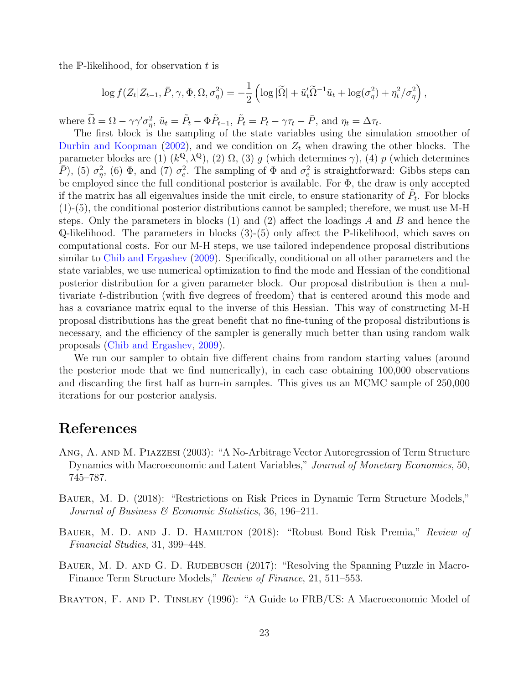the P-likelihood, for observation  $t$  is

$$
\log f(Z_t | Z_{t-1}, \bar{P}, \gamma, \Phi, \Omega, \sigma_\eta^2) = -\frac{1}{2} \left( \log |\tilde{\Omega}| + \tilde{u}_t' \tilde{\Omega}^{-1} \tilde{u}_t + \log(\sigma_\eta^2) + \eta_t^2 / \sigma_\eta^2 \right),
$$

where  $\widetilde{\Omega} = \Omega - \gamma \gamma' \sigma_{\eta}^2$ ,  $\widetilde{u}_t = \widetilde{P}_t - \Phi \widetilde{P}_{t-1}$ ,  $\widetilde{P}_t = P_t - \gamma \tau_t - \overline{P}$ , and  $\eta_t = \Delta \tau_t$ .

The first block is the sampling of the state variables using the simulation smoother of [Durbin and Koopman](#page-23-6) [\(2002\)](#page-23-6), and we condition on  $Z_t$  when drawing the other blocks. The parameter blocks are (1)  $(k^{\mathbb{Q}}, \lambda^{\mathbb{Q}})$ , (2)  $\Omega$ , (3) g (which determines  $\gamma$ ), (4) p (which determines  $(\overline{P})$ , (5)  $\sigma_{\eta}^2$ , (6)  $\Phi$ , and (7)  $\sigma_e^2$ . The sampling of  $\Phi$  and  $\sigma_e^2$  is straightforward: Gibbs steps can be employed since the full conditional posterior is available. For  $\Phi$ , the draw is only accepted if the matrix has all eigenvalues inside the unit circle, to ensure stationarity of  $\tilde{P}_t$ . For blocks (1)-(5), the conditional posterior distributions cannot be sampled; therefore, we must use M-H steps. Only the parameters in blocks  $(1)$  and  $(2)$  affect the loadings A and B and hence the Q-likelihood. The parameters in blocks (3)-(5) only affect the P-likelihood, which saves on computational costs. For our M-H steps, we use tailored independence proposal distributions similar to [Chib and Ergashev](#page-23-13) [\(2009\)](#page-23-13). Specifically, conditional on all other parameters and the state variables, we use numerical optimization to find the mode and Hessian of the conditional posterior distribution for a given parameter block. Our proposal distribution is then a multivariate t-distribution (with five degrees of freedom) that is centered around this mode and has a covariance matrix equal to the inverse of this Hessian. This way of constructing M-H proposal distributions has the great benefit that no fine-tuning of the proposal distributions is necessary, and the efficiency of the sampler is generally much better than using random walk proposals [\(Chib and Ergashev,](#page-23-13) [2009\)](#page-23-13).

We run our sampler to obtain five different chains from random starting values (around the posterior mode that we find numerically), in each case obtaining 100,000 observations and discarding the first half as burn-in samples. This gives us an MCMC sample of 250,000 iterations for our posterior analysis.

## References

- <span id="page-22-2"></span>Ang, A. and M. Piazzesi (2003): "A No-Arbitrage Vector Autoregression of Term Structure Dynamics with Macroeconomic and Latent Variables," Journal of Monetary Economics, 50, 745–787.
- <span id="page-22-3"></span>Bauer, M. D. (2018): "Restrictions on Risk Prices in Dynamic Term Structure Models," Journal of Business & Economic Statistics, 36, 196–211.
- <span id="page-22-1"></span>BAUER, M. D. AND J. D. HAMILTON (2018): "Robust Bond Risk Premia," Review of Financial Studies, 31, 399–448.
- <span id="page-22-4"></span>BAUER, M. D. AND G. D. RUDEBUSCH (2017): "Resolving the Spanning Puzzle in Macro-Finance Term Structure Models," Review of Finance, 21, 511–553.

<span id="page-22-0"></span>Brayton, F. and P. Tinsley (1996): "A Guide to FRB/US: A Macroeconomic Model of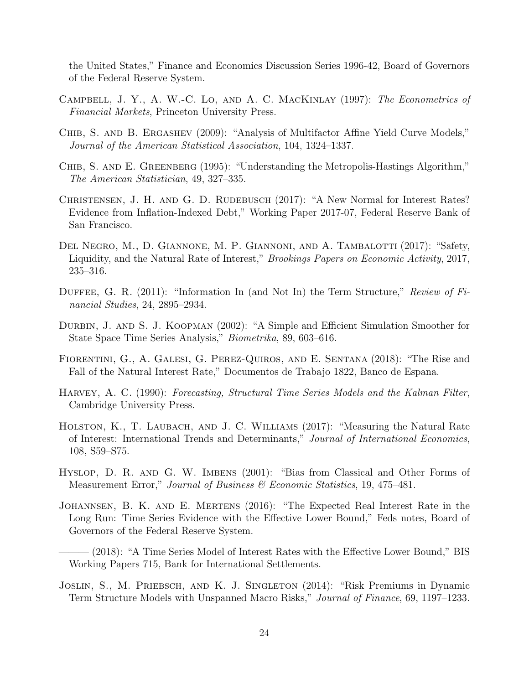the United States," Finance and Economics Discussion Series 1996-42, Board of Governors of the Federal Reserve System.

- <span id="page-23-10"></span>Campbell, J. Y., A. W.-C. Lo, and A. C. MacKinlay (1997): The Econometrics of Financial Markets, Princeton University Press.
- <span id="page-23-13"></span>CHIB, S. AND B. ERGASHEV (2009): "Analysis of Multifactor Affine Yield Curve Models," Journal of the American Statistical Association, 104, 1324–1337.
- <span id="page-23-12"></span>CHIB, S. AND E. GREENBERG (1995): "Understanding the Metropolis-Hastings Algorithm," The American Statistician, 49, 327–335.
- <span id="page-23-4"></span>CHRISTENSEN, J. H. AND G. D. RUDEBUSCH (2017): "A New Normal for Interest Rates? Evidence from Inflation-Indexed Debt," Working Paper 2017-07, Federal Reserve Bank of San Francisco.
- <span id="page-23-0"></span>DEL NEGRO, M., D. GIANNONE, M. P. GIANNONI, AND A. TAMBALOTTI (2017): "Safety, Liquidity, and the Natural Rate of Interest," Brookings Papers on Economic Activity, 2017, 235–316.
- <span id="page-23-9"></span>DUFFEE, G. R.  $(2011)$ : "Information In (and Not In) the Term Structure," Review of Financial Studies, 24, 2895–2934.
- <span id="page-23-6"></span>DURBIN, J. AND S. J. KOOPMAN (2002): "A Simple and Efficient Simulation Smoother for State Space Time Series Analysis," Biometrika, 89, 603–616.
- <span id="page-23-5"></span>Fiorentini, G., A. Galesi, G. Perez-Quiros, and E. Sentana (2018): "The Rise and Fall of the Natural Interest Rate," Documentos de Trabajo 1822, Banco de Espana.
- <span id="page-23-11"></span>Harvey, A. C. (1990): Forecasting, Structural Time Series Models and the Kalman Filter, Cambridge University Press.
- <span id="page-23-2"></span>HOLSTON, K., T. LAUBACH, AND J. C. WILLIAMS (2017): "Measuring the Natural Rate of Interest: International Trends and Determinants," Journal of International Economics, 108, S59–S75.
- <span id="page-23-7"></span>Hyslop, D. R. and G. W. Imbens (2001): "Bias from Classical and Other Forms of Measurement Error," Journal of Business & Economic Statistics, 19, 475–481.
- <span id="page-23-1"></span>JOHANNSEN, B. K. AND E. MERTENS (2016): "The Expected Real Interest Rate in the Long Run: Time Series Evidence with the Effective Lower Bound," Feds notes, Board of Governors of the Federal Reserve System.
	- $(2018)$ : "A Time Series Model of Interest Rates with the Effective Lower Bound," BIS Working Papers 715, Bank for International Settlements.
- <span id="page-23-8"></span><span id="page-23-3"></span>Joslin, S., M. Priebsch, and K. J. Singleton (2014): "Risk Premiums in Dynamic Term Structure Models with Unspanned Macro Risks," Journal of Finance, 69, 1197–1233.